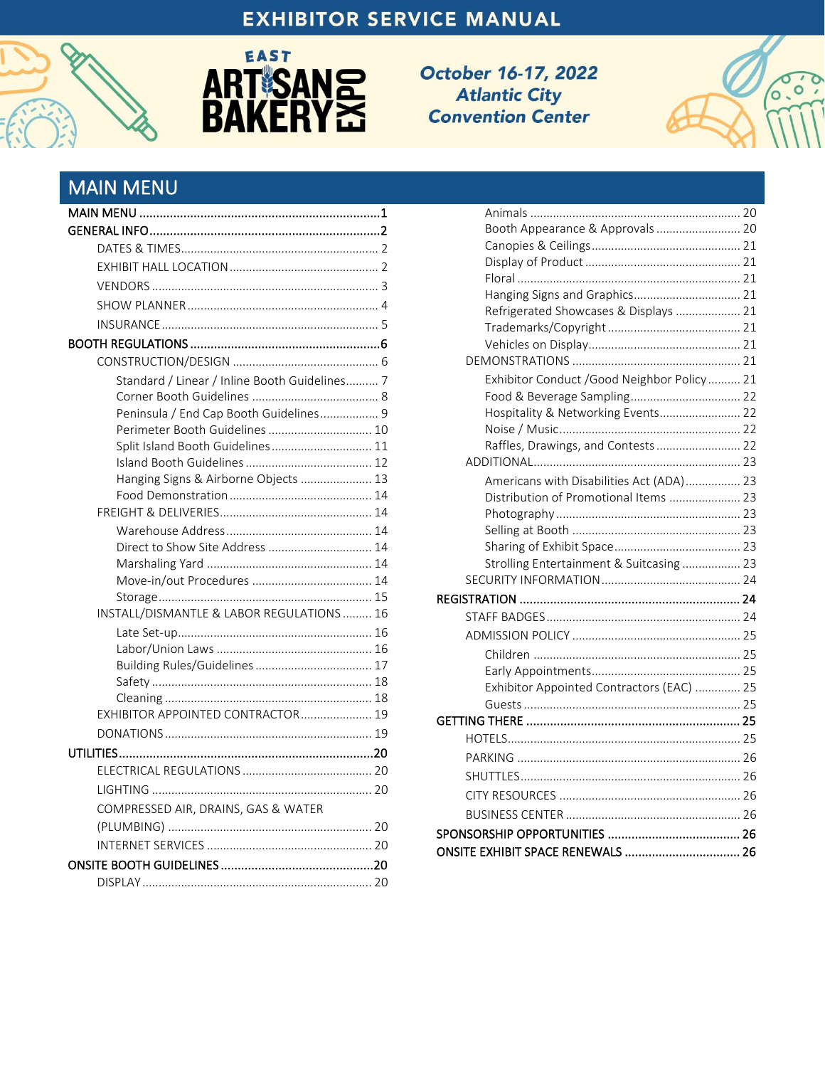## **EXHIBITOR SERVICE MANUAL**

<span id="page-0-2"></span>



October 16-17, 2022 **Atlantic City Convention Center** 



## <span id="page-0-0"></span>**MAIN MENU**

<span id="page-0-1"></span>

| Standard / Linear / Inline Booth Guidelines 7 |  |
|-----------------------------------------------|--|
|                                               |  |
| Peninsula / End Cap Booth Guidelines 9        |  |
| Perimeter Booth Guidelines  10                |  |
| Split Island Booth Guidelines 11              |  |
|                                               |  |
| Hanging Signs & Airborne Objects  13          |  |
|                                               |  |
|                                               |  |
|                                               |  |
| Direct to Show Site Address  14               |  |
|                                               |  |
|                                               |  |
|                                               |  |
| INSTALL/DISMANTLE & LABOR REGULATIONS  16     |  |
|                                               |  |
|                                               |  |
|                                               |  |
|                                               |  |
| EXHIBITOR APPOINTED CONTRACTOR 19             |  |
|                                               |  |
|                                               |  |
|                                               |  |
|                                               |  |
|                                               |  |
| COMPRESSED AIR, DRAINS, GAS & WATER           |  |
|                                               |  |
|                                               |  |
|                                               |  |
|                                               |  |

| Booth Appearance & Approvals 20             |  |
|---------------------------------------------|--|
|                                             |  |
|                                             |  |
|                                             |  |
| Hanging Signs and Graphics 21               |  |
| Refrigerated Showcases & Displays  21       |  |
|                                             |  |
|                                             |  |
|                                             |  |
| Exhibitor Conduct /Good Neighbor Policy  21 |  |
| Food & Beverage Sampling 22                 |  |
| Hospitality & Networking Events 22          |  |
|                                             |  |
| Raffles, Drawings, and Contests 22          |  |
|                                             |  |
| Americans with Disabilities Act (ADA) 23    |  |
| Distribution of Promotional Items  23       |  |
|                                             |  |
|                                             |  |
|                                             |  |
| Strolling Entertainment & Suitcasing  23    |  |
|                                             |  |
|                                             |  |
|                                             |  |
|                                             |  |
|                                             |  |
|                                             |  |
| Exhibitor Appointed Contractors (EAC)  25   |  |
|                                             |  |
|                                             |  |
|                                             |  |
|                                             |  |
|                                             |  |
|                                             |  |
|                                             |  |
|                                             |  |
| ONSITE EXHIBIT SPACE RENEWALS  26           |  |
|                                             |  |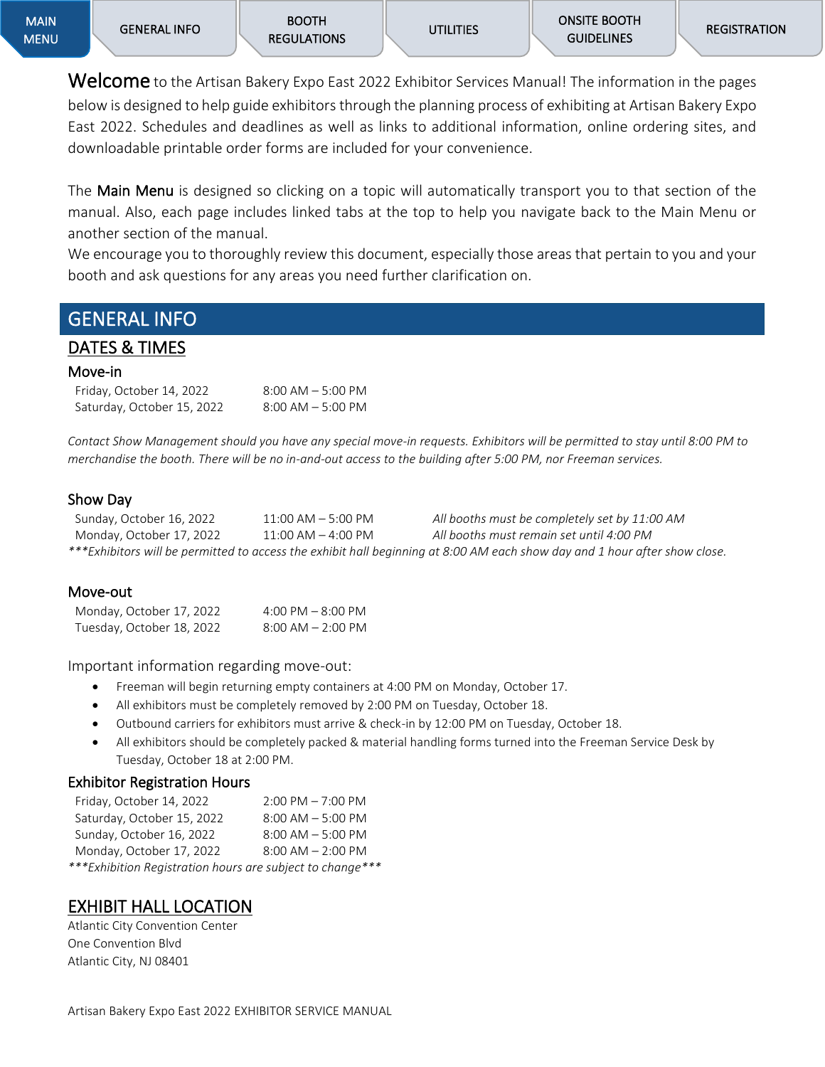Welcome to the Artisan Bakery Expo East 2022 Exhibitor Services Manual! The information in the pages below is designed to help guide exhibitors through the planning process of exhibiting at Artisan Bakery Expo East 2022. Schedules and deadlines as well as links to additional information, online ordering sites, and downloadable printable order forms are included for your convenience.

The Main Menu is designed so clicking on a topic will automatically transport you to that section of the manual. Also, each page includes linked tabs at the top to help you navigate back to the Main Menu or another section of the manual.

We encourage you to thoroughly review this document, especially those areas that pertain to you and your booth and ask questions for any areas you need further clarification on.

## <span id="page-1-0"></span>GENERAL INFO

## <span id="page-1-1"></span>DATES & TIMES

#### Move-in

| Friday, October 14, 2022   | $8:00$ AM $-5:00$ PM |
|----------------------------|----------------------|
| Saturday, October 15, 2022 | $8:00$ AM $-5:00$ PM |

*Contact Show Management should you have any special move-in requests. Exhibitors will be permitted to stay until 8:00 PM to merchandise the booth. There will be no in-and-out access to the building after 5:00 PM, nor Freeman services.*

#### Show Day

| Sunday, October 16, 2022 | $11:00$ AM $-$ 5:00 PM | All booths must be completely set by 11:00 AM                                                                              |
|--------------------------|------------------------|----------------------------------------------------------------------------------------------------------------------------|
| Monday, October 17, 2022 | $11:00$ AM $-$ 4:00 PM | All booths must remain set until 4:00 PM                                                                                   |
|                          |                        | ***Exhibitors will be permitted to access the exhibit hall beginning at 8:00 AM each show day and 1 hour after show close. |

#### Move-out

| Monday, October 17, 2022  | 4:00 PM $-$ 8:00 PM   |
|---------------------------|-----------------------|
| Tuesday, October 18, 2022 | $8:00$ AM $- 2:00$ PM |

Important information regarding move-out:

- Freeman will begin returning empty containers at 4:00 PM on Monday, October 17.
- All exhibitors must be completely removed by 2:00 PM on Tuesday, October 18.
- Outbound carriers for exhibitors must arrive & check-in by 12:00 PM on Tuesday, October 18.
- All exhibitors should be completely packed & material handling forms turned into the Freeman Service Desk by Tuesday, October 18 at 2:00 PM.

#### Exhibitor Registration Hours

| Friday, October 14, 2022                                   | $2:00$ PM $-7:00$ PM  |
|------------------------------------------------------------|-----------------------|
| Saturday, October 15, 2022                                 | $8:00$ AM $-5:00$ PM  |
| Sunday, October 16, 2022                                   | $8:00$ AM $-5:00$ PM  |
| Monday, October 17, 2022                                   | $8:00$ AM $- 2:00$ PM |
| *** Exhibition Registration hours are subject to change*** |                       |

## <span id="page-1-2"></span>EXHIBIT HALL LOCATION

Atlantic City Convention Center One Convention Blvd Atlantic City, NJ 08401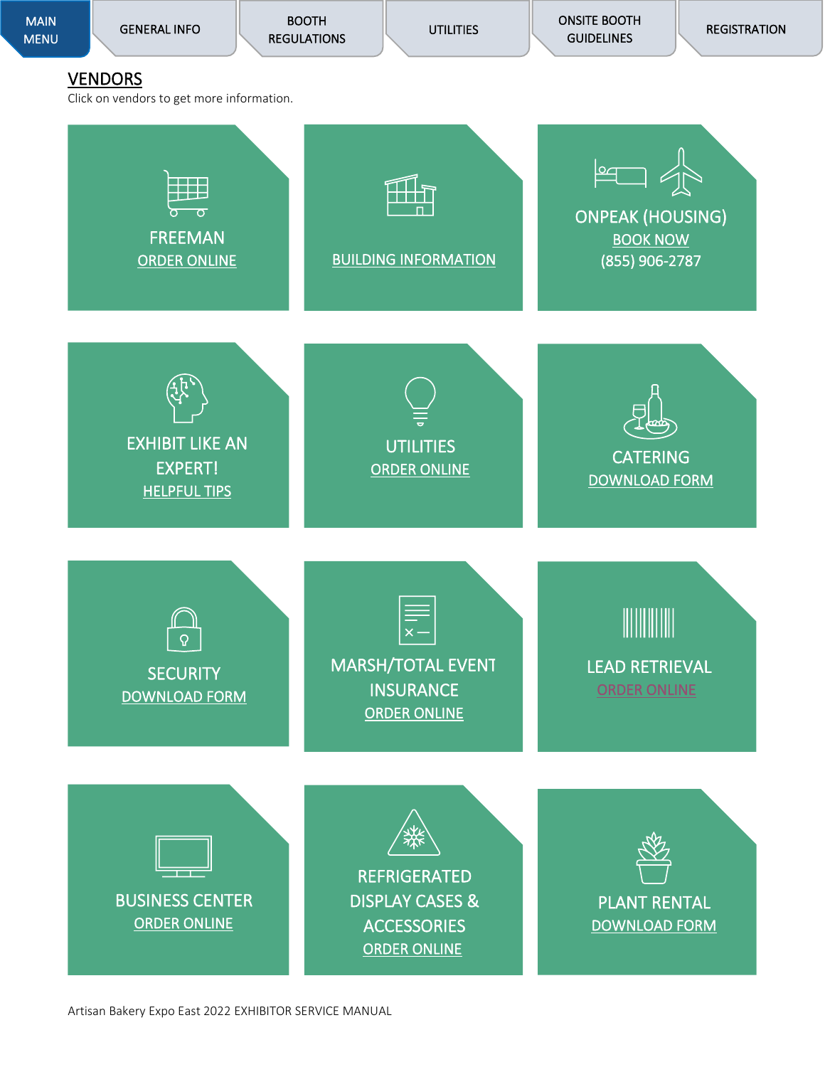<span id="page-2-0"></span>

Artisan Bakery Expo East 2022 EXHIBITOR SERVICE MANUAL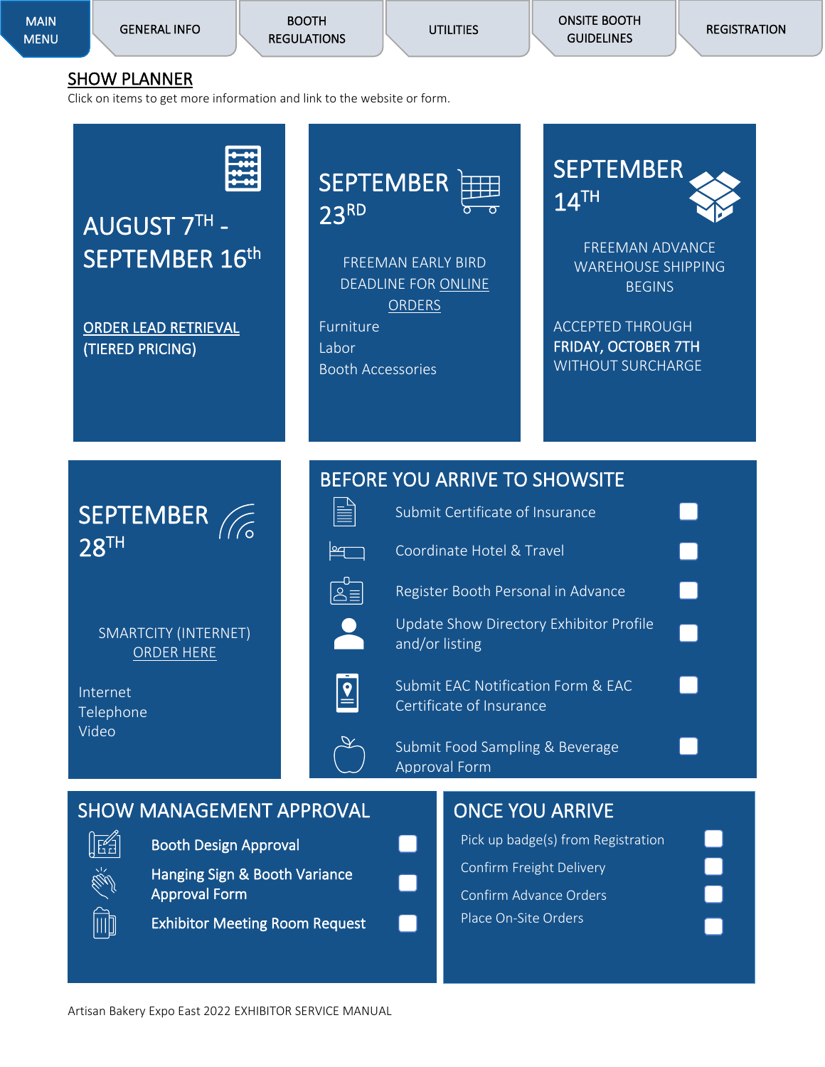BOOTH [REGULATIONS](#page-5-0) 

**UTILITIES** 

[ONSITE BOOTH](#page-19-9)  **GUIDELINES** 

### <span id="page-3-0"></span>SHOW PLANNER

Click on items to get more information and link to the website or form.

# AUGUST 7TH - SEPTEMBER 16<sup>th</sup>

[ORDER LEAD RETRIEVAL](https://exhibitor.swap.mge360.com/Home/Login#/)  (TIERED PRICING)



FREEMAN EARLY BIRD DEADLINE FOR [ONLINE](https://www.freemanco.com/store/show/landing?showID=509842)  **[ORDERS](https://www.freemanco.com/store/show/landing?showID=509842)** Furniture

Labor

∣∞

 $\boxed{2}$ 

Booth Accessories

**SEPTEMBER**  $14$ <sup>TH</sup>

FREEMAN ADVANCE WAREHOUSE SHIPPING **BEGINS** 

ACCEPTED THROUGH FRIDAY, OCTOBER 7TH WITHOUT SURCHARGE

# SEPTEMBER 28TH

SMARTCITY (INTERNET) [ORDER HERE](https://artisanbakeryexpoeast.com/wp-content/uploads/2022/04/ABE22-Smart-City-Forms.pdf)

Internet Telephone Video

## BEFORE YOU ARRIVE TO SHOWSITE

| E | Submit Certificate of Insurance                                           |  |
|---|---------------------------------------------------------------------------|--|
|   | Coordinate Hotel & Travel                                                 |  |
|   | Register Booth Personal in Advance                                        |  |
|   | Update Show Directory Exhibitor Profile<br>and/or listing                 |  |
|   | <b>Submit EAC Notification Form &amp; EAC</b><br>Certificate of Insurance |  |
|   | Submit Food Sampling & Beverage<br><b>Approval Form</b>                   |  |

## SHOW MANAGEMENT APPROVAL



Booth Design Approval

Hanging Sign & Booth Variance Approval Form

Exhibitor Meeting Room Request

## ONCE YOU ARRIVE Pick up badge(s) from Registration Confirm Freight Delivery Confirm Advance Orders

Place On-Site Orders

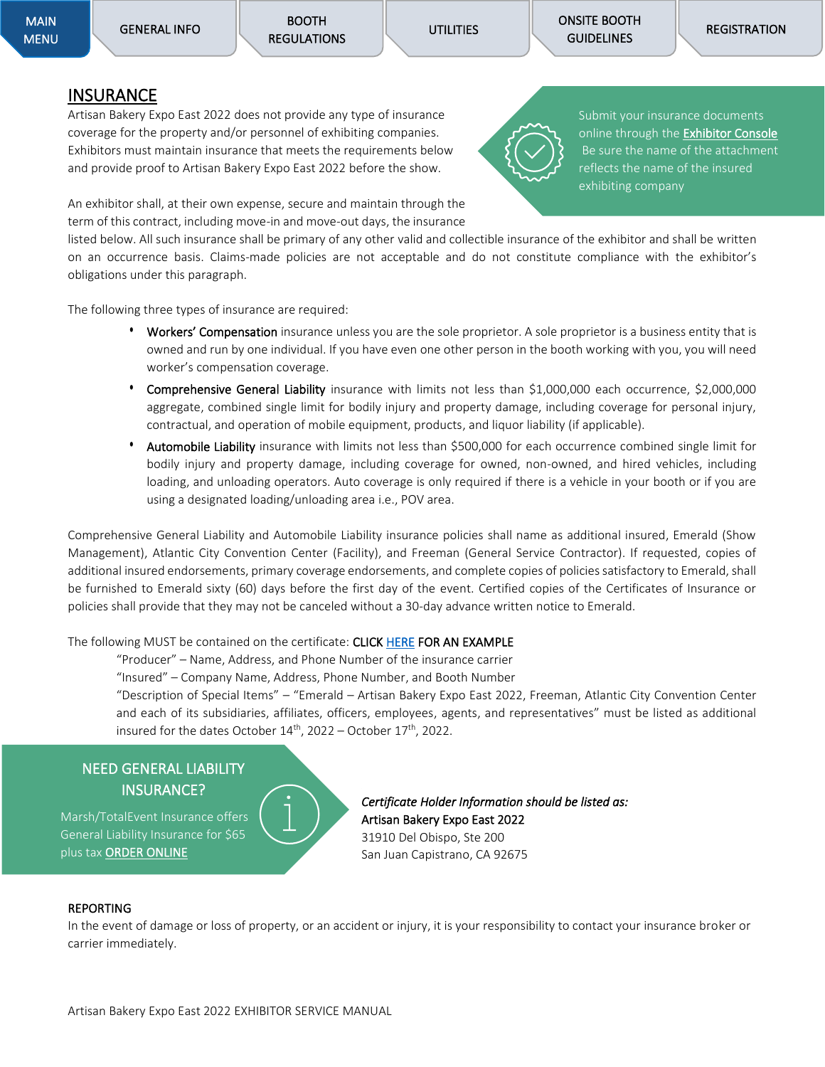[ONSITE BOOTH](#page-19-9)  **GUIDELINES** 

### <span id="page-4-0"></span>**INSURANCE**

Artisan Bakery Expo East 2022 does not provide any type of insurance coverage for the property and/or personnel of exhibiting companies. Exhibitors must maintain insurance that meets the requirements below and provide proof to Artisan Bakery Expo East 2022 before the show.

An exhibitor shall, at their own expense, secure and maintain through the term of this contract, including move-in and move-out days, the insurance

listed below. All such insurance shall be primary of any other valid and collectible insurance of the exhibitor and shall be written on an occurrence basis. Claims-made policies are not acceptable and do not constitute compliance with the exhibitor's obligations under this paragraph.

The following three types of insurance are required:

- Workers' Compensation insurance unless you are the sole proprietor. A sole proprietor is a business entity that is owned and run by one individual. If you have even one other person in the booth working with you, you will need worker's compensation coverage.
- **•** Comprehensive General Liability insurance with limits not less than \$1,000,000 each occurrence, \$2,000,000 aggregate, combined single limit for bodily injury and property damage, including coverage for personal injury, contractual, and operation of mobile equipment, products, and liquor liability (if applicable).
- **•** Automobile Liability insurance with limits not less than \$500,000 for each occurrence combined single limit for bodily injury and property damage, including coverage for owned, non-owned, and hired vehicles, including loading, and unloading operators. Auto coverage is only required if there is a vehicle in your booth or if you are using a designated loading/unloading area i.e., POV area.

Comprehensive General Liability and Automobile Liability insurance policies shall name as additional insured, Emerald (Show Management), Atlantic City Convention Center (Facility), and Freeman (General Service Contractor). If requested, copies of additional insured endorsements, primary coverage endorsements, and complete copies of policies satisfactory to Emerald, shall be furnished to Emerald sixty (60) days before the first day of the event. Certified copies of the Certificates of Insurance or policies shall provide that they may not be canceled without a 30-day advance written notice to Emerald.

The following MUST be contained on the certificate: CLIC[K HERE](https://artisanbakeryexpoeast.com/wp-content/uploads/2022/04/ABE22-Sample-COI.docx) FOR AN EXAMPLE

"Producer" – Name, Address, and Phone Number of the insurance carrier

"Insured" – Company Name, Address, Phone Number, and Booth Number

"Description of Special Items" – "Emerald – Artisan Bakery Expo East 2022, Freeman, Atlantic City Convention Center and each of its subsidiaries, affiliates, officers, employees, agents, and representatives" must be listed as additional insured for the dates October  $14<sup>th</sup>$ , 2022 – October  $17<sup>th</sup>$ , 2022.

### NEED GENERAL LIABILITY INSURANCE?

Marsh/TotalEvent Insurance offers General Liability Insurance for \$65 plus tax [ORDER ONLINE](https://www.totaleventinsurance.com/app/Customer/ExhibitorAnnual.aspx?eid=SzegUt6WX_Q$)



*Certificate Holder Information should be listed as:*  Artisan Bakery Expo East 2022 31910 Del Obispo, Ste 200 San Juan Capistrano, CA 92675

#### REPORTING

In the event of damage or loss of property, or an accident or injury, it is your responsibility to contact your insurance broker or carrier immediately.



Submit your insurance documents online through the **Exhibitor Console** Be sure the name of the attachment reflects the name of the insured exhibiting company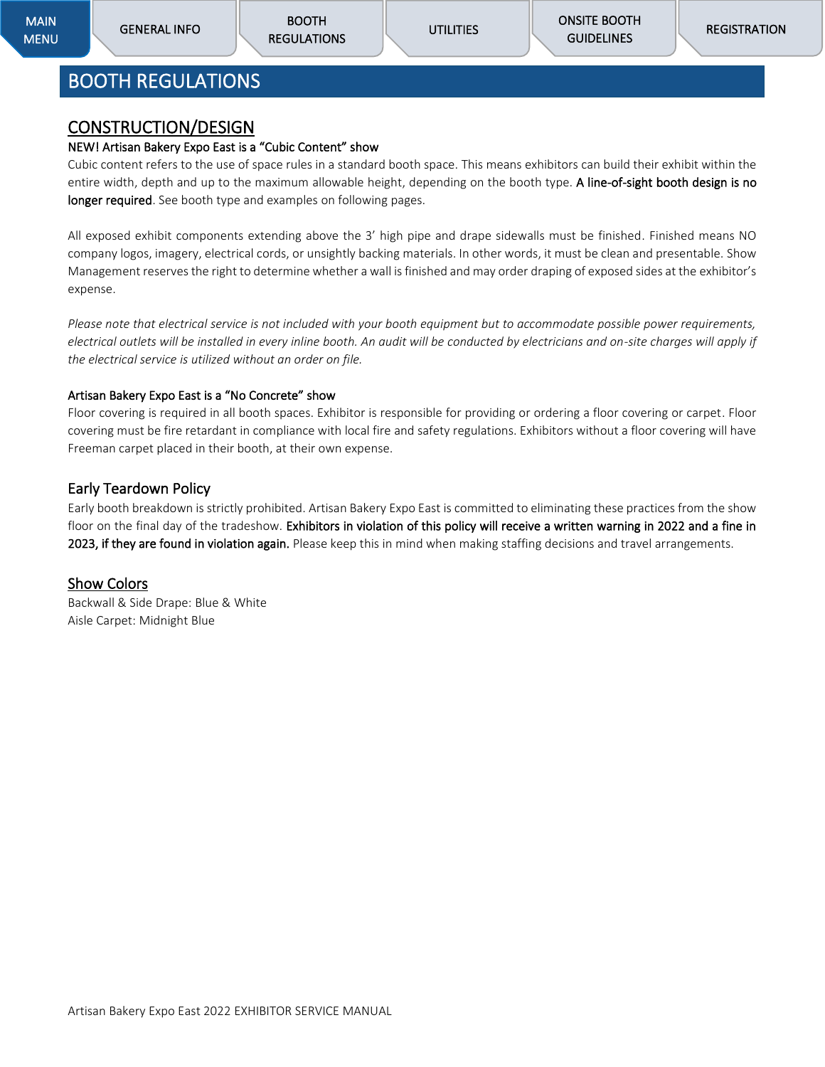## <span id="page-5-0"></span>BOOTH REGULATIONS

#### <span id="page-5-1"></span>CONSTRUCTION/DESIGN

#### NEW! Artisan Bakery Expo East is a "Cubic Content" show

Cubic content refers to the use of space rules in a standard booth space. This means exhibitors can build their exhibit within the entire width, depth and up to the maximum allowable height, depending on the booth type. A line-of-sight booth design is no longer required. See booth type and examples on following pages.

All exposed exhibit components extending above the 3' high pipe and drape sidewalls must be finished. Finished means NO company logos, imagery, electrical cords, or unsightly backing materials. In other words, it must be clean and presentable. Show Management reserves the right to determine whether a wall is finished and may order draping of exposed sides at the exhibitor's expense.

*Please note that electrical service is not included with your booth equipment but to accommodate possible power requirements, electrical outlets will be installed in every inline booth. An audit will be conducted by electricians and on-site charges will apply if the electrical service is utilized without an order on file.*

#### Artisan Bakery Expo East is a "No Concrete" show

Floor covering is required in all booth spaces. Exhibitor is responsible for providing or ordering a floor covering or carpet. Floor covering must be fire retardant in compliance with local fire and safety regulations. Exhibitors without a floor covering will have Freeman carpet placed in their booth, at their own expense.

#### Early Teardown Policy

Early booth breakdown is strictly prohibited. Artisan Bakery Expo East is committed to eliminating these practices from the show floor on the final day of the tradeshow. Exhibitors in violation of this policy will receive a written warning in 2022 and a fine in 2023, if they are found in violation again. Please keep this in mind when making staffing decisions and travel arrangements.

#### Show Colors

Backwall & Side Drape: Blue & White Aisle Carpet: Midnight Blue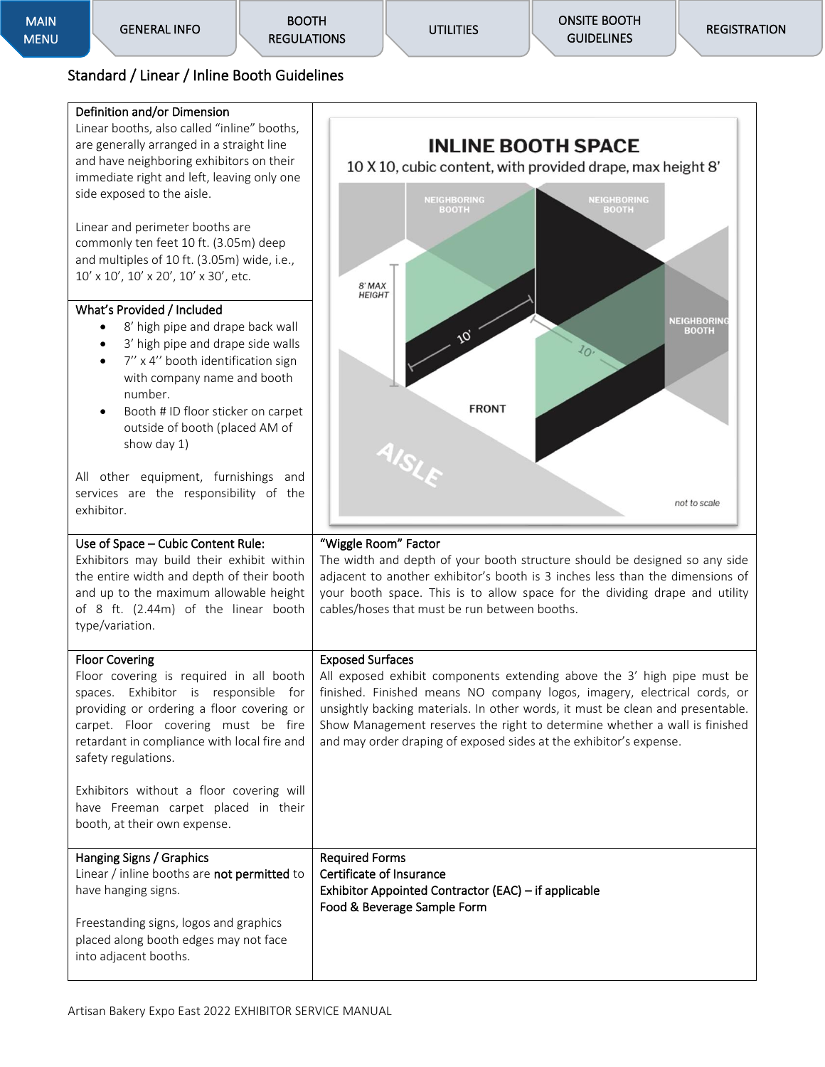**UTILITIES** 

[ONSITE BOOTH](#page-19-9)  **GUIDELINES** 

### <span id="page-6-0"></span>Standard / Linear / Inline Booth Guidelines

#### Definition and/or Dimension

Linear booths, also called "inline" booths, are generally arranged in a straight line and have neighboring exhibitors on their immediate right and left, leaving only one side exposed to the aisle.

Linear and perimeter booths are commonly ten feet 10 ft. (3.05m) deep and multiples of 10 ft. (3.05m) wide, i.e., 10' x 10', 10' x 20', 10' x 30', etc.

#### What's Provided / Included

- 8' high pipe and drape back wall
- 3' high pipe and drape side walls
- 7'' x 4'' booth identification sign with company name and booth number.
- Booth # ID floor sticker on carpet outside of booth (placed AM of show day 1)

All other equipment, furnishings and services are the responsibility of the exhibitor.

Use of Space – Cubic Content Rule: Exhibitors may build their exhibit within the entire width and depth of their booth and up to the maximum allowable height of 8 ft. (2.44m) of the linear booth

type/variation.

Floor Covering

safety regulations.

into adjacent booths.



#### "Wiggle Room" Factor

The width and depth of your booth structure should be designed so any side adjacent to another exhibitor's booth is 3 inches less than the dimensions of your booth space. This is to allow space for the dividing drape and utility cables/hoses that must be run between booths.

#### Exposed Surfaces

All exposed exhibit components extending above the 3' high pipe must be finished. Finished means NO company logos, imagery, electrical cords, or unsightly backing materials. In other words, it must be clean and presentable. Show Management reserves the right to determine whether a wall is finished and may order draping of exposed sides at the exhibitor's expense.

Exhibitors without a floor covering will have Freeman carpet placed in their booth, at their own expense.

Floor covering is required in all booth spaces. Exhibitor is responsible for providing or ordering a floor covering or carpet. Floor covering must be fire retardant in compliance with local fire and

| Hanging Signs / Graphics                    | <b>Required Forms</b>                                |
|---------------------------------------------|------------------------------------------------------|
| Linear / inline booths are not permitted to | Certificate of Insurance                             |
| have hanging signs.                         | Exhibitor Appointed Contractor (EAC) - if applicable |
|                                             | Food & Beverage Sample Form                          |
| Freestanding signs, logos and graphics      |                                                      |
| placed along booth edges may not face       |                                                      |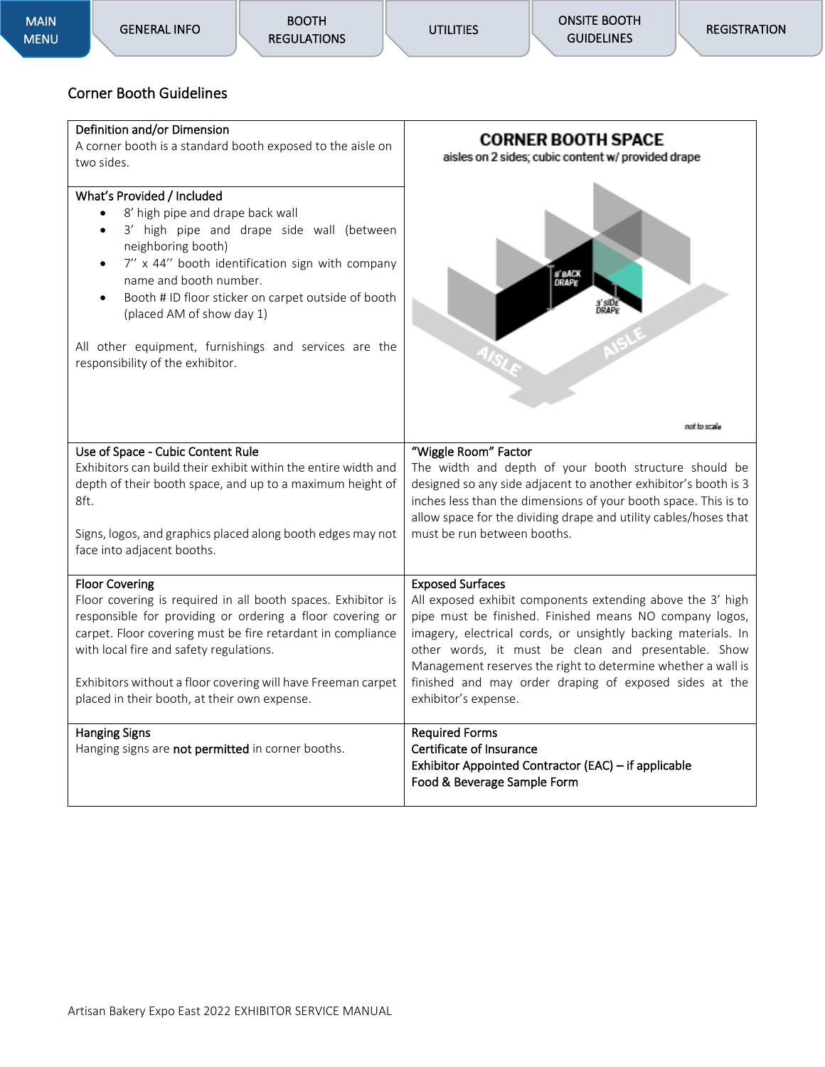#### <span id="page-7-0"></span>Corner Booth Guidelines

#### Definition and/or Dimension

Use of Space - Cubic Content Rule

with local fire and safety regulations.

face into adjacent booths.

Floor Covering

8ft.

A corner booth is a standard booth exposed to the aisle on two sides.

## What's Provided / Included • 8' high pipe and drape back wall

- 3' high pipe and drape side wall (between neighboring booth)
- 7'' x 44'' booth identification sign with company name and booth number.
- Booth # ID floor sticker on carpet outside of booth (placed AM of show day 1)

All other equipment, furnishings and services are the responsibility of the exhibitor.

Exhibitors can build their exhibit within the entire width and depth of their booth space, and up to a maximum height of

Signs, logos, and graphics placed along booth edges may not

Floor covering is required in all booth spaces. Exhibitor is responsible for providing or ordering a floor covering or carpet. Floor covering must be fire retardant in compliance

Exhibitors without a floor covering will have Freeman carpet



### "Wiggle Room" Factor

The width and depth of your booth structure should be designed so any side adjacent to another exhibitor's booth is 3 inches less than the dimensions of your booth space. This is to allow space for the dividing drape and utility cables/hoses that must be run between booths.

#### Exposed Surfaces

All exposed exhibit components extending above the 3' high pipe must be finished. Finished means NO company logos, imagery, electrical cords, or unsightly backing materials. In other words, it must be clean and presentable. Show Management reserves the right to determine whether a wall is finished and may order draping of exposed sides at the exhibitor's expense.

#### placed in their booth, at their own expense. Hanging Signs Hanging signs are not permitted in corner booths. Required Forms Certificate of Insurance Exhibitor Appointed Contractor (EAC) – if applicable Food & Beverage Sample Form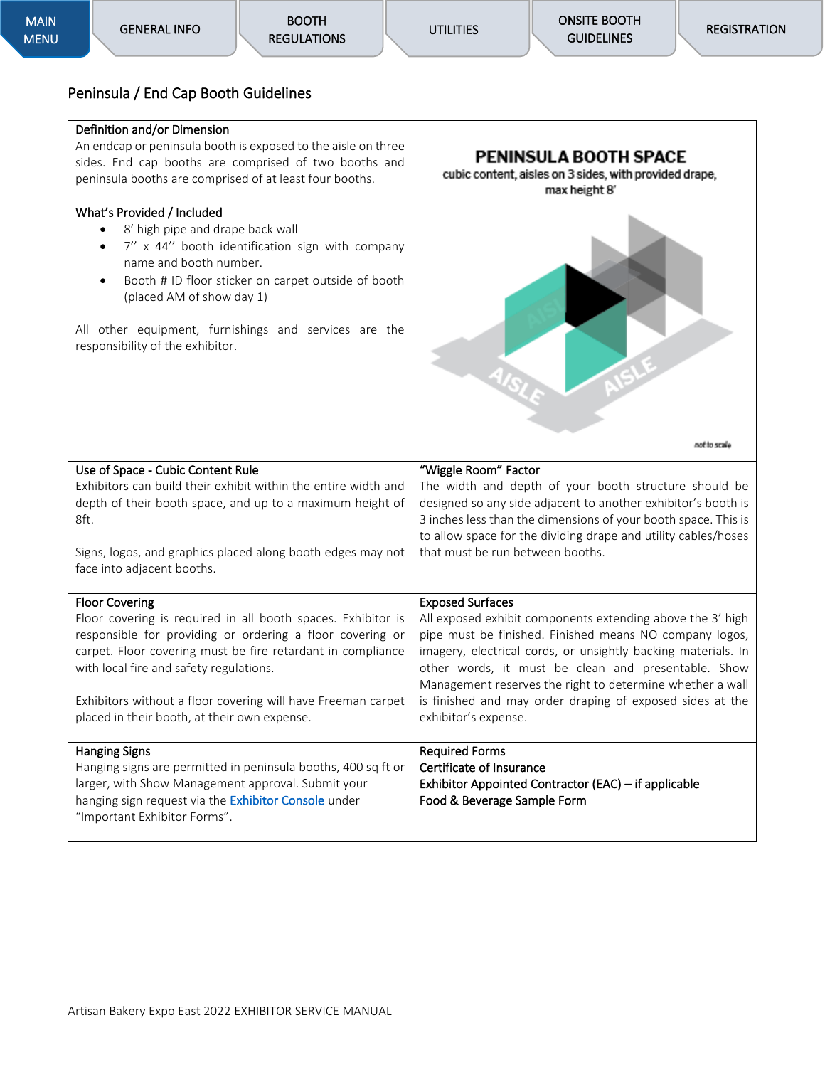#### <span id="page-8-0"></span>Peninsula / End Cap Booth Guidelines

#### Definition and/or Dimension

An endcap or peninsula booth is exposed to the aisle on three sides. End cap booths are comprised of two booths and peninsula booths are comprised of at least four booths.

#### What's Provided / Included

Use of Space - Cubic Content Rule

8ft.

- 8' high pipe and drape back wall
- 7'' x 44'' booth identification sign with company name and booth number.
- Booth # ID floor sticker on carpet outside of booth (placed AM of show day 1)

All other equipment, furnishings and services are the responsibility of the exhibitor.



The width and depth of your booth structure should be designed so any side adjacent to another exhibitor's booth is 3 inches less than the dimensions of your booth space. This is to allow space for the dividing drape and utility cables/hoses that must be run between booths.

All exposed exhibit components extending above the 3' high pipe must be finished. Finished means NO company logos, imagery, electrical cords, or unsightly backing materials. In other words, it must be clean and presentable. Show Management reserves the right to determine whether a wall is finished and may order draping of exposed sides at the

Signs, logos, and graphics placed along booth edges may not face into adjacent booths.

Exhibitors can build their exhibit within the entire width and depth of their booth space, and up to a maximum height of

Floor Covering Floor covering is required in all booth spaces. Exhibitor is responsible for providing or ordering a floor covering or carpet. Floor covering must be fire retardant in compliance with local fire and safety regulations.

Exhibitors without a floor covering will have Freeman carpet placed in their booth, at their own expense.

| placed in their booth, at their own expense.                                                                                                                                                                                               | exhibitor's expense.                                                                                                                     |
|--------------------------------------------------------------------------------------------------------------------------------------------------------------------------------------------------------------------------------------------|------------------------------------------------------------------------------------------------------------------------------------------|
| <b>Hanging Signs</b><br>Hanging signs are permitted in peninsula booths, 400 sq ft or<br>larger, with Show Management approval. Submit your<br>hanging sign request via the <b>Exhibitor Console</b> under<br>"Important Exhibitor Forms". | <b>Required Forms</b><br>Certificate of Insurance<br>Exhibitor Appointed Contractor (EAC) - if applicable<br>Food & Beverage Sample Form |

Exposed Surfaces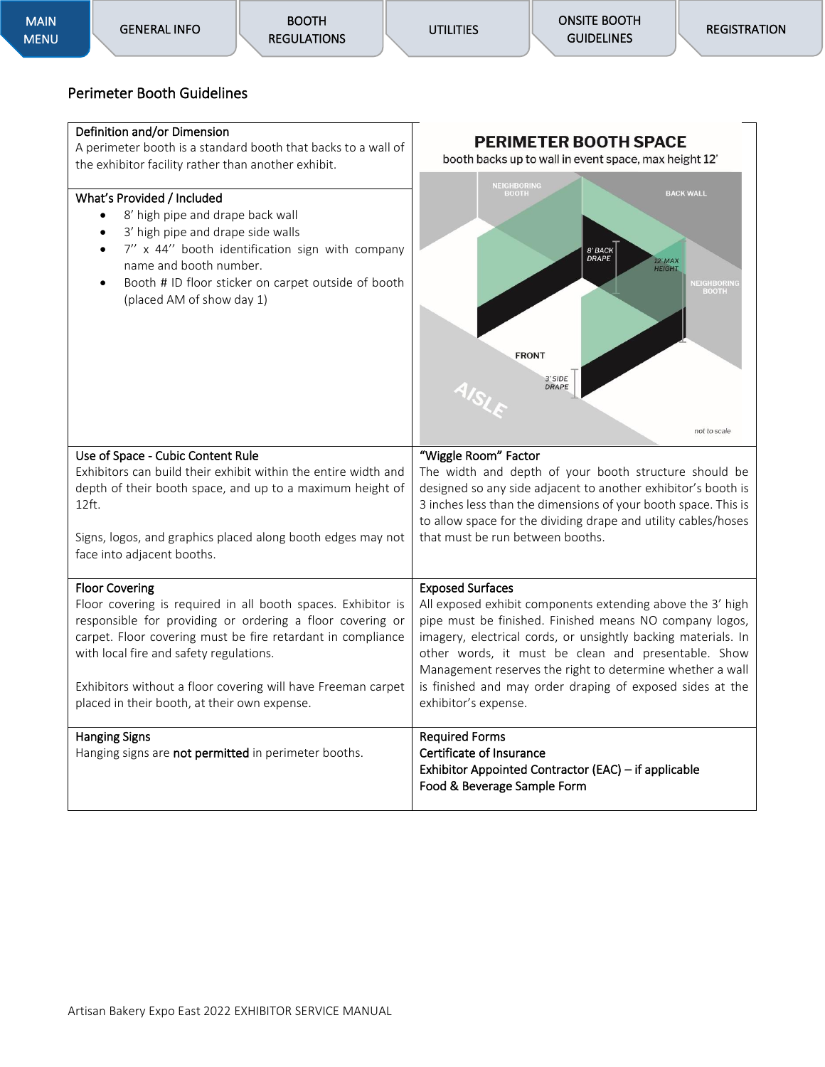#### <span id="page-9-0"></span>Perimeter Booth Guidelines

#### Definition and/or Dimension

A perimeter booth is a standard booth that backs to a wall of the exhibitor facility rather than another exhibit.

#### What's Provided / Included

Use of Space - Cubic Content Rule

- 8' high pipe and drape back wall
- 3' high pipe and drape side walls
- 7'' x 44'' booth identification sign with company name and booth number.
- Booth # ID floor sticker on carpet outside of booth (placed AM of show day 1)



#### "Wiggle Room" Factor

Exposed Surfaces

exhibitor's expense.

The width and depth of your booth structure should be designed so any side adjacent to another exhibitor's booth is 3 inches less than the dimensions of your booth space. This is to allow space for the dividing drape and utility cables/hoses that must be run between booths.

All exposed exhibit components extending above the 3' high pipe must be finished. Finished means NO company logos, imagery, electrical cords, or unsightly backing materials. In other words, it must be clean and presentable. Show Management reserves the right to determine whether a wall is finished and may order draping of exposed sides at the

Signs, logos, and graphics placed along booth edges may not face into adjacent booths.

Exhibitors can build their exhibit within the entire width and depth of their booth space, and up to a maximum height of

#### Floor Covering

Hanging Signs

12ft.

Floor covering is required in all booth spaces. Exhibitor is responsible for providing or ordering a floor covering or carpet. Floor covering must be fire retardant in compliance with local fire and safety regulations.

Exhibitors without a floor covering will have Freeman carpet placed in their booth, at their own expense.

Hanging signs are not permitted in perimeter booths.

#### Required Forms Certificate of Insurance Exhibitor Appointed Contractor (EAC) – if applicable Food & Beverage Sample Form

Artisan Bakery Expo East 2022 EXHIBITOR SERVICE MANUAL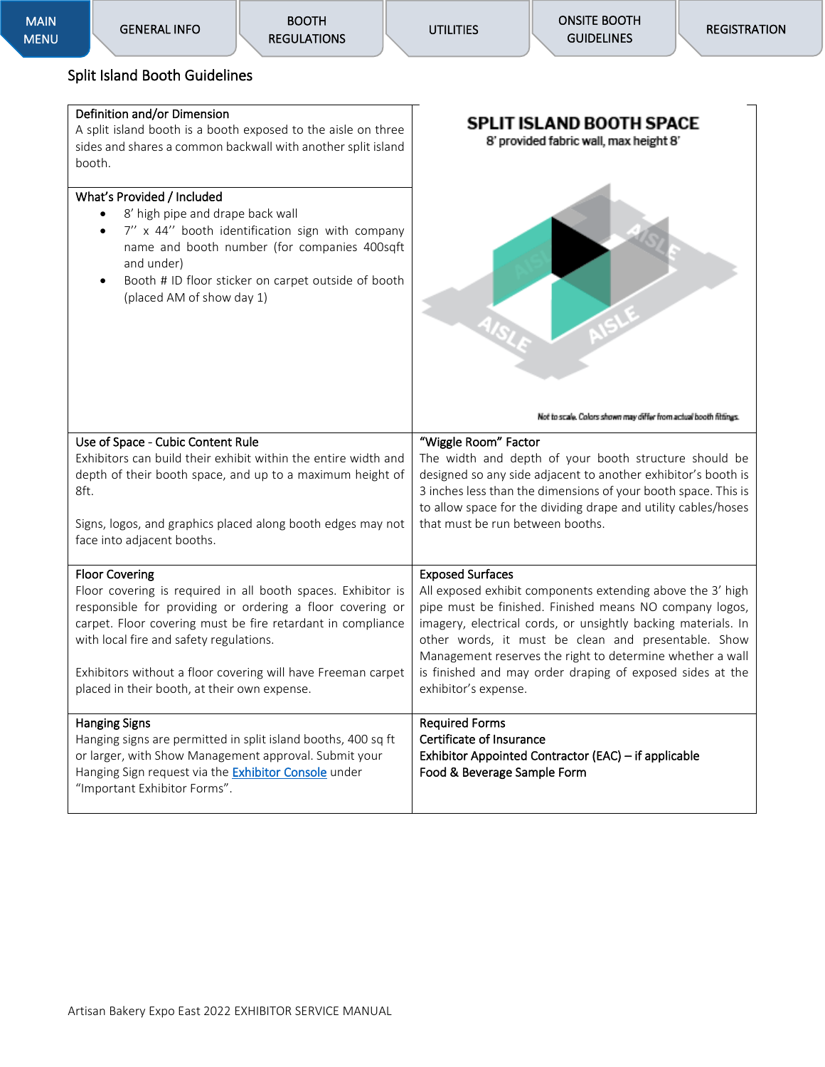#### <span id="page-10-0"></span>Split Island Booth Guidelines

#### Definition and/or Dimension

A split island booth is a booth exposed to the aisle on three sides and shares a common backwall with another split island booth.

#### What's Provided / Included

- 8' high pipe and drape back wall
- 7'' x 44'' booth identification sign with company name and booth number (for companies 400sqft and under)
- Booth # ID floor sticker on carpet outside of booth (placed AM of show day 1)



| Not to scale. Colors shown may differ from actual booth fittings. |  |
|-------------------------------------------------------------------|--|
|-------------------------------------------------------------------|--|

| Use of Space - Cubic Content Rule                                                                      | "Wiggle Room" Factor                                                                                                 |
|--------------------------------------------------------------------------------------------------------|----------------------------------------------------------------------------------------------------------------------|
| Exhibitors can build their exhibit within the entire width and                                         | The width and depth of your booth structure should be                                                                |
| depth of their booth space, and up to a maximum height of                                              | designed so any side adjacent to another exhibitor's booth is                                                        |
| 8ft.                                                                                                   | 3 inches less than the dimensions of your booth space. This is                                                       |
|                                                                                                        | to allow space for the dividing drape and utility cables/hoses                                                       |
| Signs, logos, and graphics placed along booth edges may not                                            | that must be run between booths.                                                                                     |
| face into adjacent booths.                                                                             |                                                                                                                      |
| <b>Floor Covering</b>                                                                                  | <b>Exposed Surfaces</b>                                                                                              |
| Floor covering is required in all booth spaces. Exhibitor is                                           | All exposed exhibit components extending above the 3' high                                                           |
|                                                                                                        | pipe must be finished. Finished means NO company logos,                                                              |
| responsible for providing or ordering a floor covering or                                              |                                                                                                                      |
| carpet. Floor covering must be fire retardant in compliance<br>with local fire and safety regulations. | imagery, electrical cords, or unsightly backing materials. In<br>other words, it must be clean and presentable. Show |
|                                                                                                        | Management reserves the right to determine whether a wall                                                            |
| Exhibitors without a floor covering will have Freeman carpet                                           | is finished and may order draping of exposed sides at the                                                            |
| placed in their booth, at their own expense.                                                           | exhibitor's expense.                                                                                                 |
|                                                                                                        |                                                                                                                      |
| <b>Hanging Signs</b>                                                                                   | <b>Required Forms</b>                                                                                                |
| Hanging signs are permitted in split island booths, 400 sq ft                                          | Certificate of Insurance                                                                                             |
| or larger, with Show Management approval. Submit your                                                  | Exhibitor Appointed Contractor (EAC) – if applicable                                                                 |
| Hanging Sign request via the <b>Exhibitor Console</b> under                                            | Food & Beverage Sample Form                                                                                          |
| "Important Exhibitor Forms".                                                                           |                                                                                                                      |
|                                                                                                        |                                                                                                                      |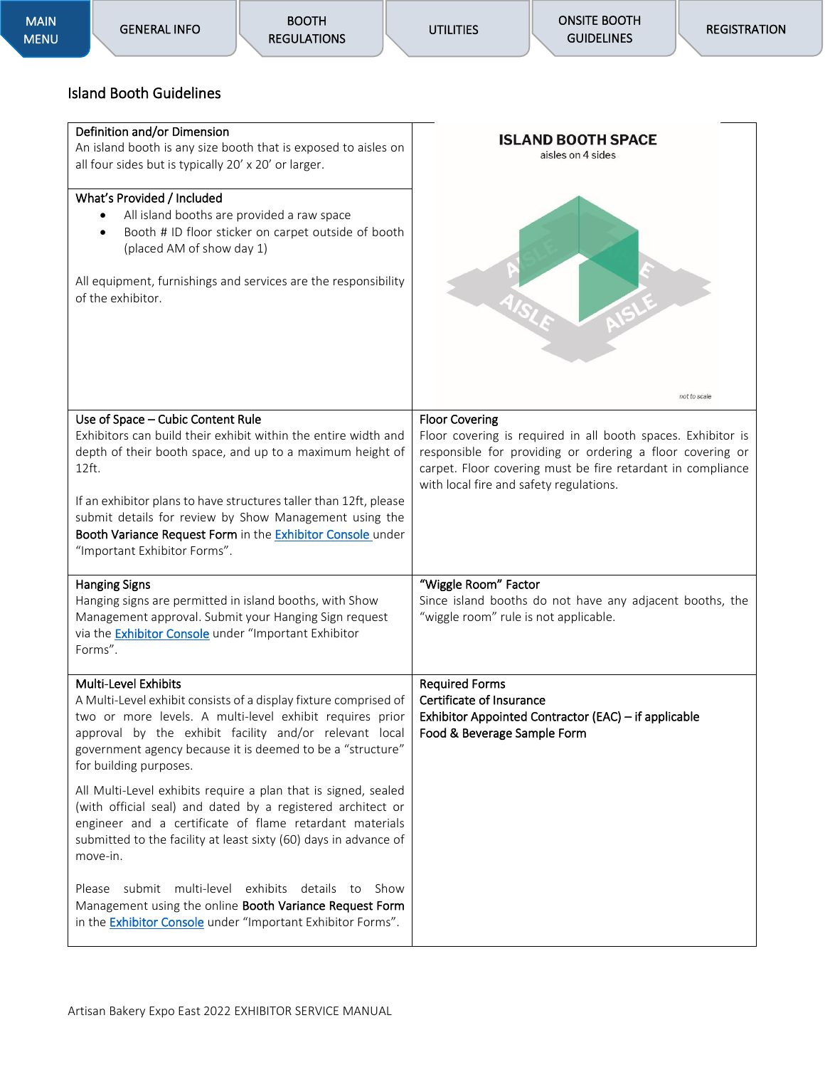| MAIN        |
|-------------|
| <b>MENU</b> |

## <span id="page-11-0"></span>Island Booth Guidelines

| Island Booth Guidelines                                                                                                                                                                                                                                                                                |                                                                                                                                                                                                                                                              |
|--------------------------------------------------------------------------------------------------------------------------------------------------------------------------------------------------------------------------------------------------------------------------------------------------------|--------------------------------------------------------------------------------------------------------------------------------------------------------------------------------------------------------------------------------------------------------------|
| Definition and/or Dimension<br>An island booth is any size booth that is exposed to aisles on<br>all four sides but is typically 20' x 20' or larger.                                                                                                                                                  | <b>ISLAND BOOTH SPACE</b><br>aisles on 4 sides                                                                                                                                                                                                               |
| What's Provided / Included<br>All island booths are provided a raw space<br>Booth # ID floor sticker on carpet outside of booth<br>(placed AM of show day 1)<br>All equipment, furnishings and services are the responsibility<br>of the exhibitor.                                                    | not to scale                                                                                                                                                                                                                                                 |
| Use of Space - Cubic Content Rule<br>Exhibitors can build their exhibit within the entire width and<br>depth of their booth space, and up to a maximum height of<br>12ft.                                                                                                                              | <b>Floor Covering</b><br>Floor covering is required in all booth spaces. Exhibitor is<br>responsible for providing or ordering a floor covering or<br>carpet. Floor covering must be fire retardant in compliance<br>with local fire and safety regulations. |
| If an exhibitor plans to have structures taller than 12ft, please<br>submit details for review by Show Management using the<br>Booth Variance Request Form in the Exhibitor Console under<br>"Important Exhibitor Forms".                                                                              |                                                                                                                                                                                                                                                              |
| <b>Hanging Signs</b><br>Hanging signs are permitted in island booths, with Show<br>Management approval. Submit your Hanging Sign request<br>via the <b>Exhibitor Console</b> under "Important Exhibitor<br>Forms".                                                                                     | "Wiggle Room" Factor<br>Since island booths do not have any adjacent booths, the<br>"wiggle room" rule is not applicable.                                                                                                                                    |
| Multi-Level Exhibits<br>A Multi-Level exhibit consists of a display fixture comprised of<br>two or more levels. A multi-level exhibit requires prior<br>approval by the exhibit facility and/or relevant local<br>government agency because it is deemed to be a "structure"<br>for building purposes. | <b>Required Forms</b><br>Certificate of Insurance<br>Exhibitor Appointed Contractor (EAC) - if applicable<br>Food & Beverage Sample Form                                                                                                                     |
| All Multi-Level exhibits require a plan that is signed, sealed<br>(with official seal) and dated by a registered architect or<br>engineer and a certificate of flame retardant materials<br>submitted to the facility at least sixty (60) days in advance of<br>move-in.                               |                                                                                                                                                                                                                                                              |
| Please submit multi-level exhibits details to Show<br>Management using the online Booth Variance Request Form<br>in the <b>Exhibitor Console</b> under "Important Exhibitor Forms".                                                                                                                    |                                                                                                                                                                                                                                                              |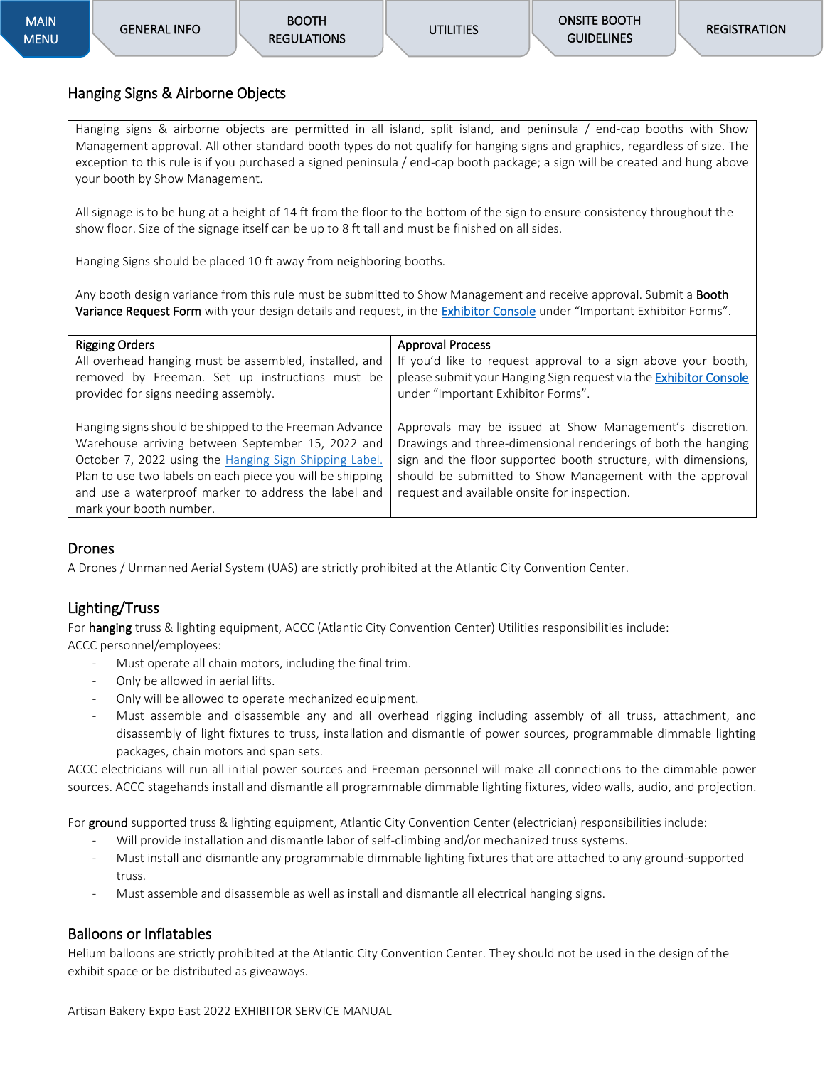#### <span id="page-12-0"></span>Hanging Signs & Airborne Objects

Hanging signs & airborne objects are permitted in all island, split island, and peninsula / end-cap booths with Show Management approval. All other standard booth types do not qualify for hanging signs and graphics, regardless of size. The exception to this rule is if you purchased a signed peninsula / end-cap booth package; a sign will be created and hung above your booth by Show Management.

All signage is to be hung at a height of 14 ft from the floor to the bottom of the sign to ensure consistency throughout the show floor. Size of the signage itself can be up to 8 ft tall and must be finished on all sides.

Hanging Signs should be placed 10 ft away from neighboring booths.

Any booth design variance from this rule must be submitted to Show Management and receive approval. Submit a **Booth** Variance Request Form with your design details and request, in the **Exhibitor Console** under "Important Exhibitor Forms".

| <b>Rigging Orders</b>                                                                                                                                                                                                                                                                                                 | <b>Approval Process</b>                                                                                                                                                                                                                                                                                 |
|-----------------------------------------------------------------------------------------------------------------------------------------------------------------------------------------------------------------------------------------------------------------------------------------------------------------------|---------------------------------------------------------------------------------------------------------------------------------------------------------------------------------------------------------------------------------------------------------------------------------------------------------|
| All overhead hanging must be assembled, installed, and                                                                                                                                                                                                                                                                | If you'd like to request approval to a sign above your booth,                                                                                                                                                                                                                                           |
| removed by Freeman. Set up instructions must be                                                                                                                                                                                                                                                                       | please submit your Hanging Sign request via the Exhibitor Console                                                                                                                                                                                                                                       |
| provided for signs needing assembly.                                                                                                                                                                                                                                                                                  | under "Important Exhibitor Forms".                                                                                                                                                                                                                                                                      |
| Hanging signs should be shipped to the Freeman Advance<br>Warehouse arriving between September 15, 2022 and<br>October 7, 2022 using the Hanging Sign Shipping Label.<br>Plan to use two labels on each piece you will be shipping<br>and use a waterproof marker to address the label and<br>mark your booth number. | Approvals may be issued at Show Management's discretion.<br>Drawings and three-dimensional renderings of both the hanging<br>sign and the floor supported booth structure, with dimensions,<br>should be submitted to Show Management with the approval<br>request and available onsite for inspection. |

#### Drones

A Drones / Unmanned Aerial System (UAS) are strictly prohibited at the Atlantic City Convention Center.

#### Lighting/Truss

For hanging truss & lighting equipment, ACCC (Atlantic City Convention Center) Utilities responsibilities include: ACCC personnel/employees:

- Must operate all chain motors, including the final trim.
- Only be allowed in aerial lifts.
- Only will be allowed to operate mechanized equipment.
- Must assemble and disassemble any and all overhead rigging including assembly of all truss, attachment, and disassembly of light fixtures to truss, installation and dismantle of power sources, programmable dimmable lighting packages, chain motors and span sets.

ACCC electricians will run all initial power sources and Freeman personnel will make all connections to the dimmable power sources. ACCC stagehands install and dismantle all programmable dimmable lighting fixtures, video walls, audio, and projection.

For ground supported truss & lighting equipment, Atlantic City Convention Center (electrician) responsibilities include:

- Will provide installation and dismantle labor of self-climbing and/or mechanized truss systems.
- Must install and dismantle any programmable dimmable lighting fixtures that are attached to any ground-supported truss.
- Must assemble and disassemble as well as install and dismantle all electrical hanging signs.

#### Balloons or Inflatables

Helium balloons are strictly prohibited at the Atlantic City Convention Center. They should not be used in the design of the exhibit space or be distributed as giveaways.

Artisan Bakery Expo East 2022 EXHIBITOR SERVICE MANUAL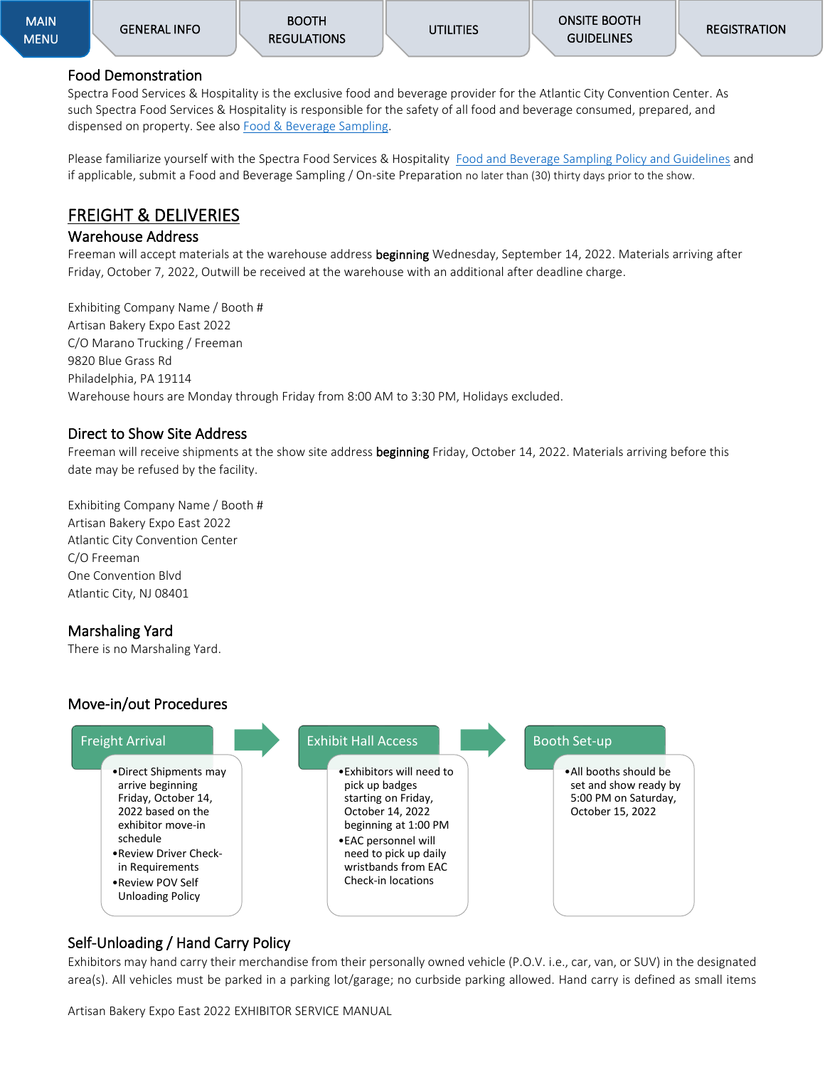### <span id="page-13-0"></span>Food Demonstration

Spectra Food Services & Hospitality is the exclusive food and beverage provider for the Atlantic City Convention Center. As such Spectra Food Services & Hospitality is responsible for the safety of all food and beverage consumed, prepared, and dispensed on property. See als[o Food & Beverage Sampling.](#page-21-0)

Please familiarize yourself with the Spectra Food Services & Hospitality [Food and Beverage Sampling Policy and Guidelines](https://meetac.com/sites/default/files/uploaded/2022%20Exhibitor%20Kit%20Food%20%26%20Beverage.pdf) and if applicable, submit a Food and Beverage Sampling / On-site Preparation no later than (30) thirty days prior to the show.

## <span id="page-13-1"></span>FREIGHT & DELIVERIES

### <span id="page-13-2"></span>Warehouse Address

Freeman will accept materials at the warehouse address beginning Wednesday, September 14, 2022. Materials arriving after Friday, October 7, 2022, Outwill be received at the warehouse with an additional after deadline charge.

Exhibiting Company Name / Booth # Artisan Bakery Expo East 2022 C/O Marano Trucking / Freeman 9820 Blue Grass Rd Philadelphia, PA 19114 Warehouse hours are Monday through Friday from 8:00 AM to 3:30 PM, Holidays excluded.

### <span id="page-13-3"></span>Direct to Show Site Address

Freeman will receive shipments at the show site address beginning Friday, October 14, 2022. Materials arriving before this date may be refused by the facility.

Exhibiting Company Name / Booth # Artisan Bakery Expo East 2022 Atlantic City Convention Center C/O Freeman One Convention Blvd Atlantic City, NJ 08401

## <span id="page-13-4"></span>Marshaling Yard

There is no Marshaling Yard.

## <span id="page-13-5"></span>Move-in/out Procedures



### Self-Unloading / Hand Carry Policy

Exhibitors may hand carry their merchandise from their personally owned vehicle (P.O.V. i.e., car, van, or SUV) in the designated area(s). All vehicles must be parked in a parking lot/garage; no curbside parking allowed. Hand carry is defined as small items

Artisan Bakery Expo East 2022 EXHIBITOR SERVICE MANUAL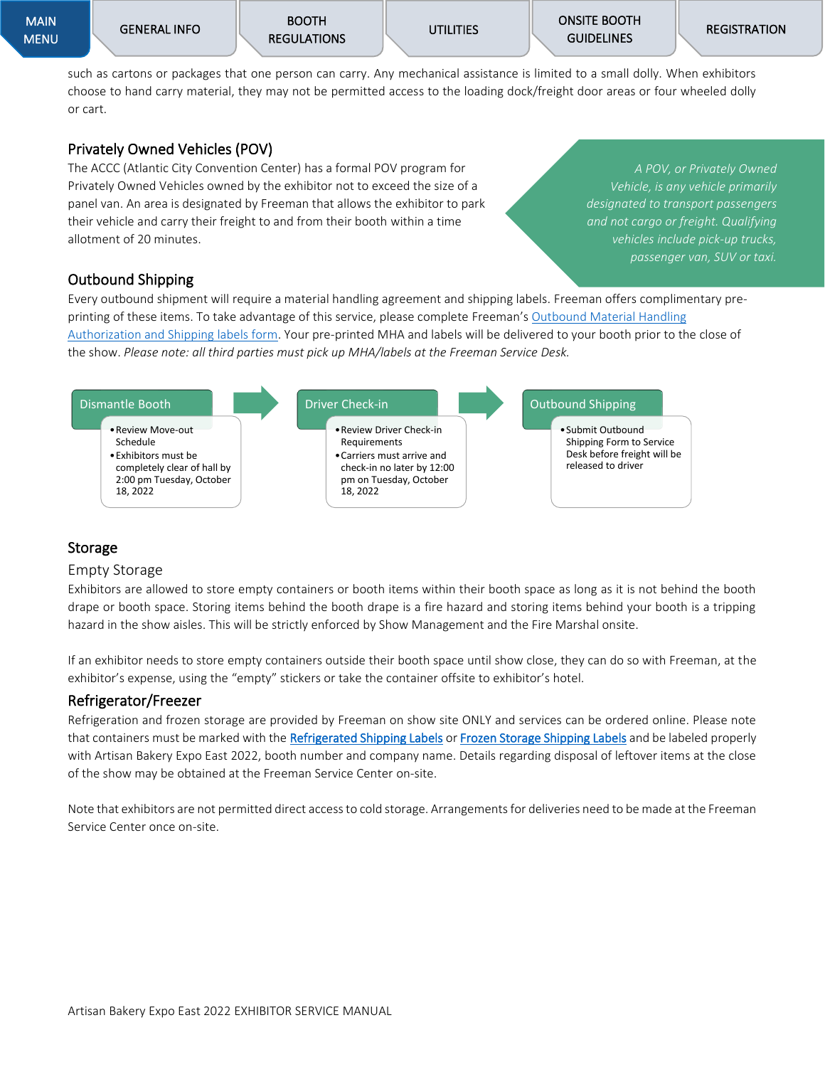MAIN [MENU](#page-0-2)  [ONSITE BOOTH](#page-19-9)  **GUIDELINES** 

such as cartons or packages that one person can carry. Any mechanical assistance is limited to a small dolly. When exhibitors choose to hand carry material, they may not be permitted access to the loading dock/freight door areas or four wheeled dolly or cart.

#### Privately Owned Vehicles (POV)

The ACCC (Atlantic City Convention Center) has a formal POV program for Privately Owned Vehicles owned by the exhibitor not to exceed the size of a panel van. An area is designated by Freeman that allows the exhibitor to park their vehicle and carry their freight to and from their booth within a time allotment of 20 minutes.

*A POV, or Privately Owned Vehicle, is any vehicle primarily designated to transport passengers and not cargo or freight. Qualifying vehicles include pick-up trucks, passenger van, SUV or taxi.*

### Outbound Shipping

Every outbound shipment will require a material handling agreement and shipping labels. Freeman offers complimentary preprinting of these items. To take advantage of this service, please complete Freeman's [Outbound Material Handling](https://www.freemanco.com/forms/509842/outbound_shipping.pdf)  [Authorization and Shipping labels](https://www.freemanco.com/forms/509842/outbound_shipping.pdf) form. Your pre-printed MHA and labels will be delivered to your booth prior to the close of the show. *Please note: all third parties must pick up MHA/labels at the Freeman Service Desk.*



#### <span id="page-14-0"></span>Storage

#### Empty Storage

Exhibitors are allowed to store empty containers or booth items within their booth space as long as it is not behind the booth drape or booth space. Storing items behind the booth drape is a fire hazard and storing items behind your booth is a tripping hazard in the show aisles. This will be strictly enforced by Show Management and the Fire Marshal onsite.

If an exhibitor needs to store empty containers outside their booth space until show close, they can do so with Freeman, at the exhibitor's expense, using the "empty" stickers or take the container offsite to exhibitor's hotel.

#### Refrigerator/Freezer

Refrigeration and frozen storage are provided by Freeman on show site ONLY and services can be ordered online. Please note that containers must be marked with the [Refrigerated Shipping Labels](https://protect-us.mimecast.com/s/GHpdCKr2jmuD468DskVJSV?domain=freemanco.com) o[r Frozen Storage Shipping Labels](https://protect-us.mimecast.com/s/fp3KCL92kntkQ7NkUYr0T4?domain=freemanco.com) and be labeled properly with Artisan Bakery Expo East 2022, booth number and company name. Details regarding disposal of leftover items at the close of the show may be obtained at the Freeman Service Center on-site.

Note that exhibitors are not permitted direct access to cold storage. Arrangements for deliveries need to be made at the Freeman Service Center once on-site.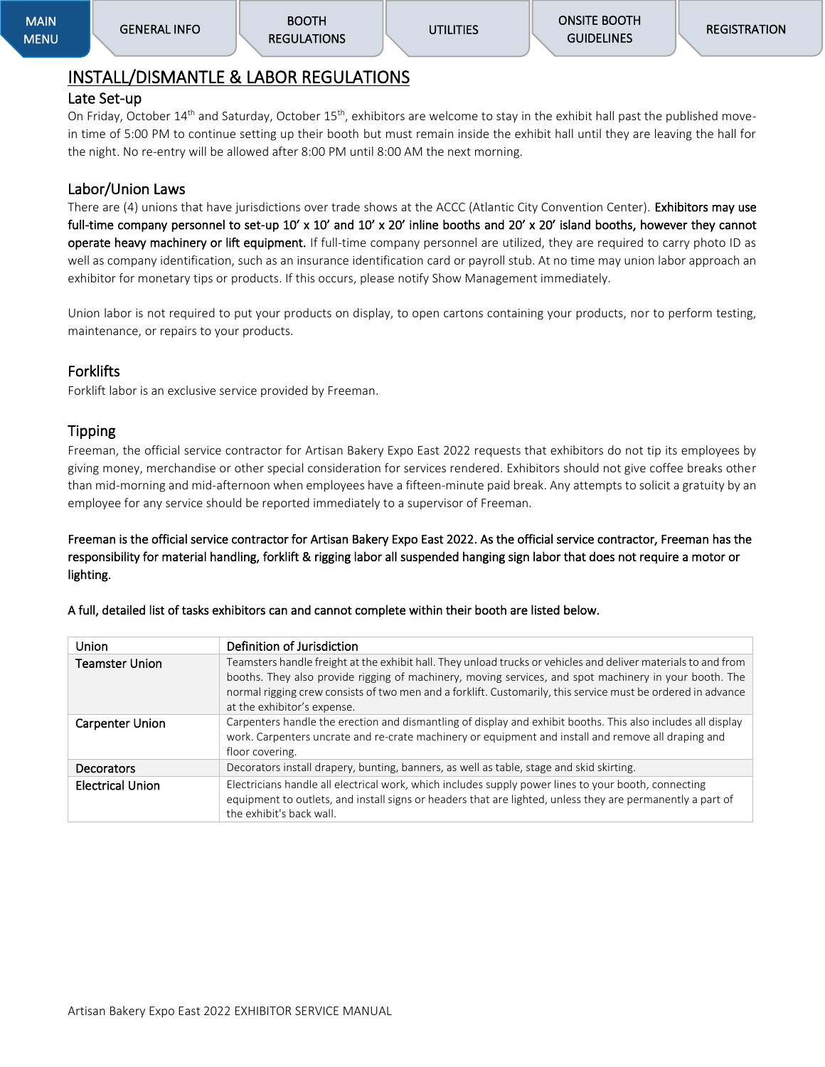## <span id="page-15-0"></span>INSTALL/DISMANTLE & LABOR REGULATIONS

#### <span id="page-15-1"></span>Late Set-up

On Friday, October 14<sup>th</sup> and Saturday, October 15<sup>th</sup>, exhibitors are welcome to stay in the exhibit hall past the published movein time of 5:00 PM to continue setting up their booth but must remain inside the exhibit hall until they are leaving the hall for the night. No re-entry will be allowed after 8:00 PM until 8:00 AM the next morning.

#### <span id="page-15-2"></span>Labor/Union Laws

There are (4) unions that have jurisdictions over trade shows at the ACCC (Atlantic City Convention Center). Exhibitors may use full-time company personnel to set-up 10' x 10' and 10' x 20' inline booths and 20' x 20' island booths, however they cannot operate heavy machinery or lift equipment. If full-time company personnel are utilized, they are required to carry photo ID as well as company identification, such as an insurance identification card or payroll stub. At no time may union labor approach an exhibitor for monetary tips or products. If this occurs, please notify Show Management immediately.

Union labor is not required to put your products on display, to open cartons containing your products, nor to perform testing, maintenance, or repairs to your products.

#### Forklifts

Forklift labor is an exclusive service provided by Freeman.

#### Tipping

Freeman, the official service contractor for Artisan Bakery Expo East 2022 requests that exhibitors do not tip its employees by giving money, merchandise or other special consideration for services rendered. Exhibitors should not give coffee breaks other than mid-morning and mid-afternoon when employees have a fifteen-minute paid break. Any attempts to solicit a gratuity by an employee for any service should be reported immediately to a supervisor of Freeman.

Freeman is the official service contractor for Artisan Bakery Expo East 2022. As the official service contractor, Freeman has the responsibility for material handling, forklift & rigging labor all suspended hanging sign labor that does not require a motor or lighting.

| Union                   | Definition of Jurisdiction                                                                                                                                                                                                                                                                                                                                              |
|-------------------------|-------------------------------------------------------------------------------------------------------------------------------------------------------------------------------------------------------------------------------------------------------------------------------------------------------------------------------------------------------------------------|
| <b>Teamster Union</b>   | Teamsters handle freight at the exhibit hall. They unload trucks or vehicles and deliver materials to and from<br>booths. They also provide rigging of machinery, moving services, and spot machinery in your booth. The<br>normal rigging crew consists of two men and a forklift. Customarily, this service must be ordered in advance<br>at the exhibitor's expense. |
| <b>Carpenter Union</b>  | Carpenters handle the erection and dismantling of display and exhibit booths. This also includes all display<br>work. Carpenters uncrate and re-crate machinery or equipment and install and remove all draping and<br>floor covering.                                                                                                                                  |
| Decorators              | Decorators install drapery, bunting, banners, as well as table, stage and skid skirting.                                                                                                                                                                                                                                                                                |
| <b>Electrical Union</b> | Electricians handle all electrical work, which includes supply power lines to your booth, connecting<br>equipment to outlets, and install signs or headers that are lighted, unless they are permanently a part of<br>the exhibit's back wall.                                                                                                                          |

A full, detailed list of tasks exhibitors can and cannot complete within their booth are listed below.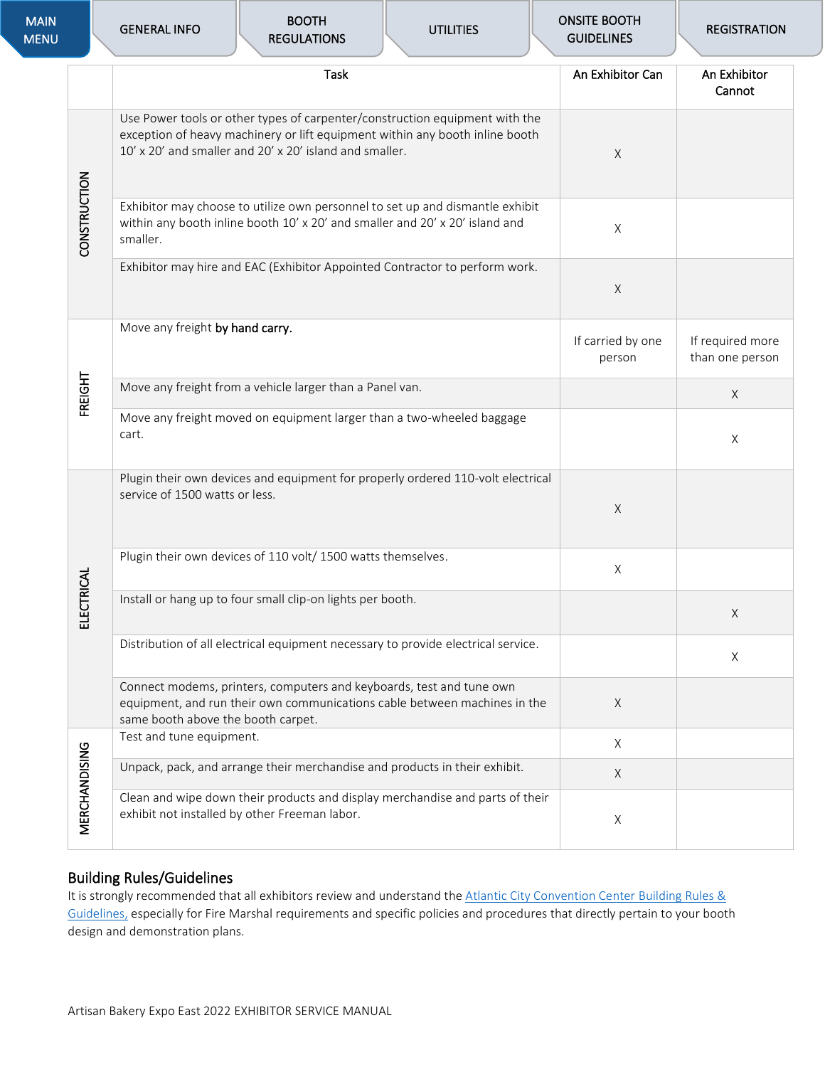| <b>MAIN</b><br><b>MENU</b> |               | <b>GENERAL INFO</b>                                                                                               | <b>BOOTH</b><br><b>REGULATIONS</b>                                           | <b>UTILITIES</b>                                                                                                                                            | <b>ONSITE BOOTH</b><br><b>GUIDELINES</b> | <b>REGISTRATION</b>                 |
|----------------------------|---------------|-------------------------------------------------------------------------------------------------------------------|------------------------------------------------------------------------------|-------------------------------------------------------------------------------------------------------------------------------------------------------------|------------------------------------------|-------------------------------------|
|                            |               | <b>Task</b>                                                                                                       |                                                                              |                                                                                                                                                             | An Exhibitor Can                         | An Exhibitor<br>Cannot              |
|                            |               |                                                                                                                   | 10' x 20' and smaller and 20' x 20' island and smaller.                      | Use Power tools or other types of carpenter/construction equipment with the<br>exception of heavy machinery or lift equipment within any booth inline booth | $\mathsf X$                              |                                     |
|                            | CONSTRUCTION  | smaller.                                                                                                          | within any booth inline booth 10' x 20' and smaller and 20' x 20' island and | Exhibitor may choose to utilize own personnel to set up and dismantle exhibit                                                                               | $\times$                                 |                                     |
|                            |               |                                                                                                                   |                                                                              | Exhibitor may hire and EAC (Exhibitor Appointed Contractor to perform work.                                                                                 | $\mathsf X$                              |                                     |
|                            |               | Move any freight by hand carry.                                                                                   |                                                                              |                                                                                                                                                             | If carried by one<br>person              | If required more<br>than one person |
|                            | FREIGHT       |                                                                                                                   | Move any freight from a vehicle larger than a Panel van.                     |                                                                                                                                                             |                                          | $\mathsf X$                         |
|                            |               | cart.                                                                                                             | Move any freight moved on equipment larger than a two-wheeled baggage        |                                                                                                                                                             |                                          | X                                   |
|                            |               | Plugin their own devices and equipment for properly ordered 110-volt electrical<br>service of 1500 watts or less. | $\mathsf X$                                                                  |                                                                                                                                                             |                                          |                                     |
|                            | CTRICAL<br>빞  |                                                                                                                   | Plugin their own devices of 110 volt/ 1500 watts themselves.                 |                                                                                                                                                             | $\times$                                 |                                     |
|                            |               |                                                                                                                   | Install or hang up to four small clip-on lights per booth.                   |                                                                                                                                                             |                                          | X                                   |
|                            |               |                                                                                                                   |                                                                              | Distribution of all electrical equipment necessary to provide electrical service.                                                                           |                                          | $\times$                            |
|                            |               | same booth above the booth carpet.                                                                                | Connect modems, printers, computers and keyboards, test and tune own         | equipment, and run their own communications cable between machines in the                                                                                   | $\times$                                 |                                     |
|                            | MERCHANDISING | Test and tune equipment.                                                                                          |                                                                              |                                                                                                                                                             | $\mathsf X$                              |                                     |
|                            |               |                                                                                                                   | Unpack, pack, and arrange their merchandise and products in their exhibit.   |                                                                                                                                                             | X                                        |                                     |
|                            |               |                                                                                                                   | exhibit not installed by other Freeman labor.                                | Clean and wipe down their products and display merchandise and parts of their                                                                               | X                                        |                                     |

### <span id="page-16-0"></span>Building Rules/Guidelines

It is strongly recommended that all exhibitors review and understand th[e Atlantic City Convention Center](https://meetac.com/sites/default/files/uploaded/MeetAC_EPG.pdf) Building Rules & [Guidelines,](https://meetac.com/sites/default/files/uploaded/MeetAC_EPG.pdf) especially for Fire Marshal requirements and specific policies and procedures that directly pertain to your booth design and demonstration plans.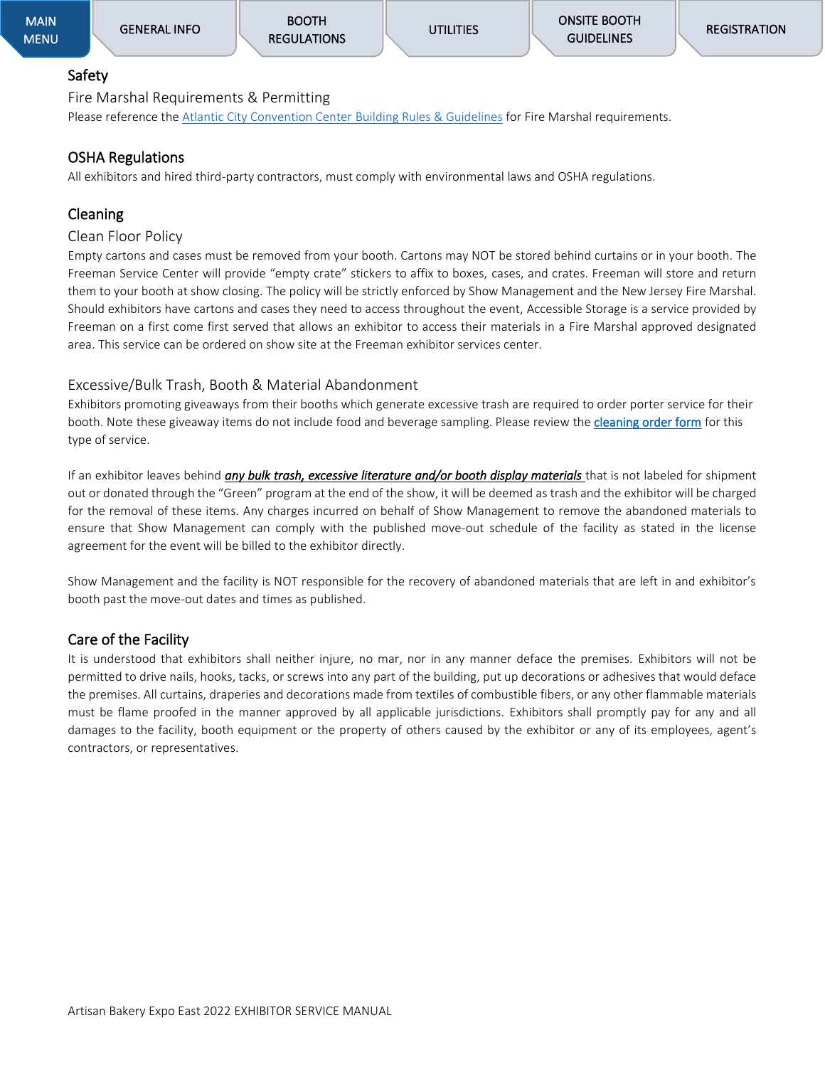#### <span id="page-17-0"></span>Safety Fire Marshal Requirements & Permitting

Please reference th[e Atlantic City Convention Center](https://meetac.com/sites/default/files/uploaded/MeetAC_EPG.pdf) Building Rules & Guidelines for Fire Marshal requirements.

#### OSHA Regulations

All exhibitors and hired third-party contractors, must comply with environmental laws and OSHA regulations.

### <span id="page-17-1"></span>Cleaning

#### Clean Floor Policy

Empty cartons and cases must be removed from your booth. Cartons may NOT be stored behind curtains or in your booth. The Freeman Service Center will provide "empty crate" stickers to affix to boxes, cases, and crates. Freeman will store and return them to your booth at show closing. The policy will be strictly enforced by Show Management and the New Jersey Fire Marshal. Should exhibitors have cartons and cases they need to access throughout the event, Accessible Storage is a service provided by Freeman on a first come first served that allows an exhibitor to access their materials in a Fire Marshal approved designated area. This service can be ordered on show site at the Freeman exhibitor services center.

#### Excessive/Bulk Trash, Booth & Material Abandonment

Exhibitors promoting giveaways from their booths which generate excessive trash are required to order porter service for their booth. Note these giveaway items do not include food and beverage sampling. Please review the [cleaning order form](https://artisanbakeryexpoeast.com/wp-content/uploads/2022/04/ABE22-Elect-Booth-Cleaning-Order-Form.pdf) for this type of service.

If an exhibitor leaves behind *any bulk trash, excessive literature and/or booth display materials* that is not labeled for shipment out or donated through the "Green" program at the end of the show, it will be deemed as trash and the exhibitor will be charged for the removal of these items. Any charges incurred on behalf of Show Management to remove the abandoned materials to ensure that Show Management can comply with the published move-out schedule of the facility as stated in the license agreement for the event will be billed to the exhibitor directly.

Show Management and the facility is NOT responsible for the recovery of abandoned materials that are left in and exhibitor's booth past the move-out dates and times as published.

#### Care of the Facility

It is understood that exhibitors shall neither injure, no mar, nor in any manner deface the premises. Exhibitors will not be permitted to drive nails, hooks, tacks, or screws into any part of the building, put up decorations or adhesives that would deface the premises. All curtains, draperies and decorations made from textiles of combustible fibers, or any other flammable materials must be flame proofed in the manner approved by all applicable jurisdictions. Exhibitors shall promptly pay for any and all damages to the facility, booth equipment or the property of others caused by the exhibitor or any of its employees, agent's contractors, or representatives.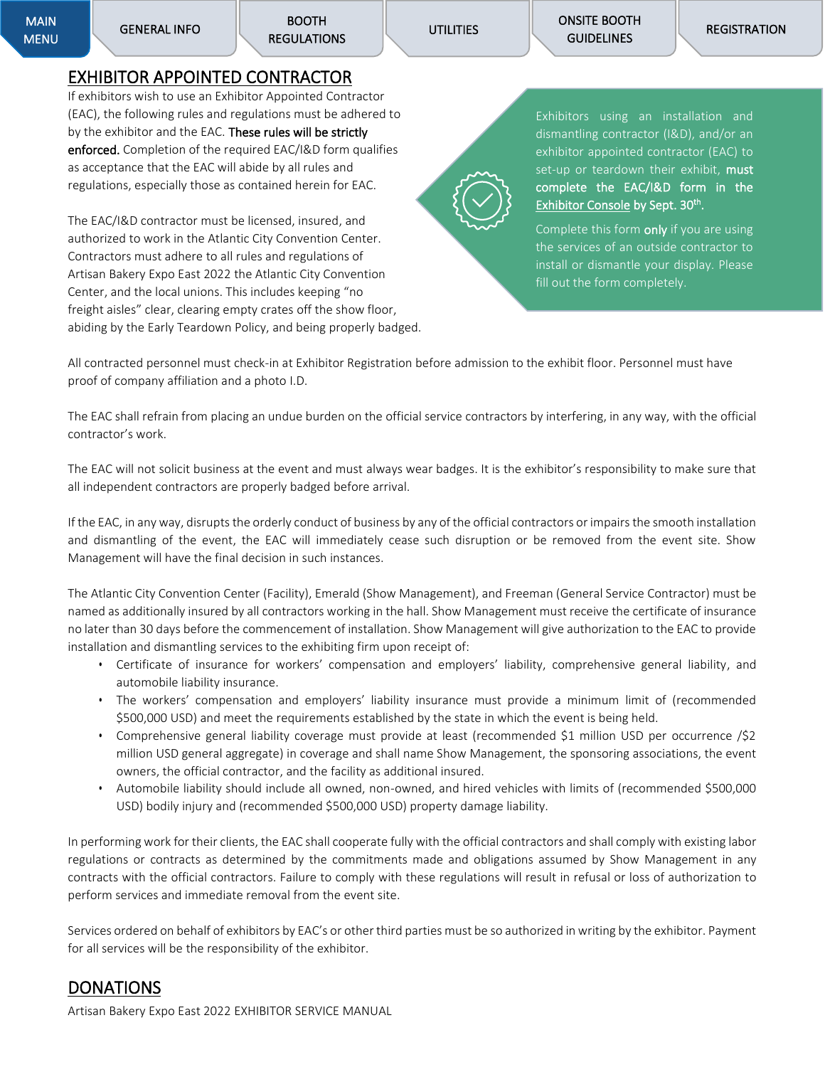## <span id="page-18-0"></span>EXHIBITOR APPOINTED CONTRACTOR

If exhibitors wish to use an Exhibitor Appointed Contractor (EAC), the following rules and regulations must be adhered to by the exhibitor and the EAC. These rules will be strictly enforced. Completion of the required EAC/I&D form qualifies as acceptance that the EAC will abide by all rules and regulations, especially those as contained herein for EAC.

The EAC/I&D contractor must be licensed, insured, and authorized to work in the Atlantic City Convention Center. Contractors must adhere to all rules and regulations of Artisan Bakery Expo East 2022 the Atlantic City Convention Center, and the local unions. This includes keeping "no freight aisles" clear, clearing empty crates off the show floor, abiding by the Early Teardown Policy, and being properly badged. Exhibitors using an installation and dismantling contractor (I&D), and/or an exhibitor appointed contractor (EAC) to set-up or teardown their exhibit, must complete the EAC/I&D form in the [Exhibitor Console](https://pizza.a2zinc.net/ArtisanBakeryEast2022/public/e_exhibitorconsole.aspx) by Sept. 30<sup>th</sup>.

Complete this form only if you are using the services of an outside contractor to install or dismantle your display. Please fill out the form completely.

All contracted personnel must check-in at Exhibitor Registration before admission to the exhibit floor. Personnel must have proof of company affiliation and a photo I.D.

The EAC shall refrain from placing an undue burden on the official service contractors by interfering, in any way, with the official contractor's work.

The EAC will not solicit business at the event and must always wear badges. It is the exhibitor's responsibility to make sure that all independent contractors are properly badged before arrival.

If the EAC, in any way, disrupts the orderly conduct of business by any of the official contractors or impairs the smooth installation and dismantling of the event, the EAC will immediately cease such disruption or be removed from the event site. Show Management will have the final decision in such instances.

The Atlantic City Convention Center (Facility), Emerald (Show Management), and Freeman (General Service Contractor) must be named as additionally insured by all contractors working in the hall. Show Management must receive the certificate of insurance no later than 30 days before the commencement of installation. Show Management will give authorization to the EAC to provide installation and dismantling services to the exhibiting firm upon receipt of:

- Certificate of insurance for workers' compensation and employers' liability, comprehensive general liability, and automobile liability insurance.
- The workers' compensation and employers' liability insurance must provide a minimum limit of (recommended \$500,000 USD) and meet the requirements established by the state in which the event is being held.
- Comprehensive general liability coverage must provide at least (recommended \$1 million USD per occurrence /\$2 million USD general aggregate) in coverage and shall name Show Management, the sponsoring associations, the event owners, the official contractor, and the facility as additional insured.
- Automobile liability should include all owned, non-owned, and hired vehicles with limits of (recommended \$500,000 USD) bodily injury and (recommended \$500,000 USD) property damage liability.

In performing work for their clients, the EAC shall cooperate fully with the official contractors and shall comply with existing labor regulations or contracts as determined by the commitments made and obligations assumed by Show Management in any contracts with the official contractors. Failure to comply with these regulations will result in refusal or loss of authorization to perform services and immediate removal from the event site.

Services ordered on behalf of exhibitors by EAC's or other third parties must be so authorized in writing by the exhibitor. Payment for all services will be the responsibility of the exhibitor.

## <span id="page-18-1"></span>**DONATIONS**

Artisan Bakery Expo East 2022 EXHIBITOR SERVICE MANUAL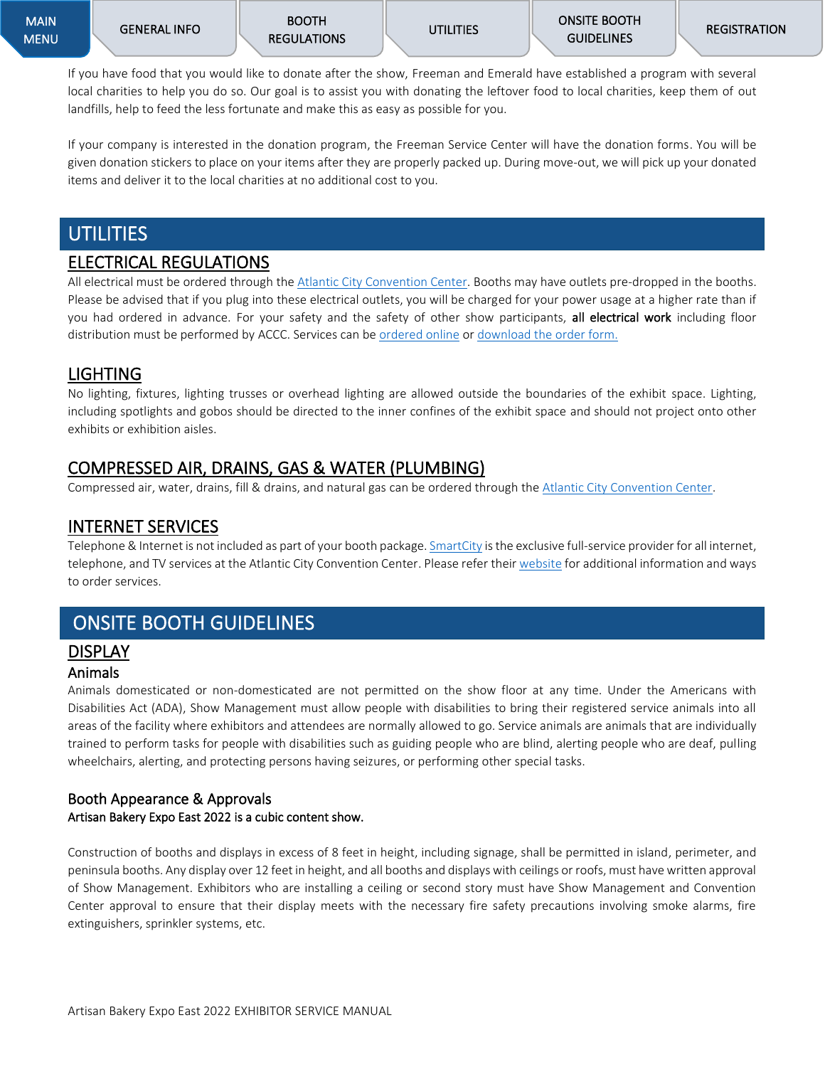If you have food that you would like to donate after the show, Freeman and Emerald have established a program with several local charities to help you do so. Our goal is to assist you with donating the leftover food to local charities, keep them of out landfills, help to feed the less fortunate and make this as easy as possible for you.

If your company is interested in the donation program, the Freeman Service Center will have the donation forms. You will be given donation stickers to place on your items after they are properly packed up. During move-out, we will pick up your donated items and deliver it to the local charities at no additional cost to you.

## <span id="page-19-0"></span>**UTILITIES**

### <span id="page-19-1"></span>ELECTRICAL REGULATIONS

All electrical must be ordered through the [Atlantic City Convention Center.](https://meetac.boomerecommerce.com/Pages/Security/Login.aspx?ReturnUrl=%2f) Booths may have outlets pre-dropped in the booths. Please be advised that if you plug into these electrical outlets, you will be charged for your power usage at a higher rate than if you had ordered in advance. For your safety and the safety of other show participants, all electrical work including floor distribution must be performed by ACCC. Services can b[e ordered online](https://meetac.boomerecommerce.com/Pages/Security/Login.aspx?ReturnUrl=%2f) or [download the order form.](https://artisanbakeryexpoeast.com/wp-content/uploads/2022/04/ABE22-ACCC-Elect.-Plumbing-Grid.pdf)

### <span id="page-19-2"></span>LIGHTING

No lighting, fixtures, lighting trusses or overhead lighting are allowed outside the boundaries of the exhibit space. Lighting, including spotlights and gobos should be directed to the inner confines of the exhibit space and should not project onto other exhibits or exhibition aisles.

## <span id="page-19-3"></span>COMPRESSED AIR, DRAINS, GAS & WATER (PLUMBING)

Compressed air, water, drains, fill & drains, and natural gas can be ordered through th[e Atlantic City Convention Center.](https://meetac.boomerecommerce.com/Pages/Security/Login.aspx?ReturnUrl=%2f)

## <span id="page-19-4"></span>INTERNET SERVICES

Telephone & Internet is not included as part of your booth package[. SmartCity](https://orders.smartcitynetworks.com/login?ReturnUrl=%2F) is the exclusive full-service provider for all internet, telephone, and TV services at the Atlantic City Convention Center. Please refer thei[r website](https://orders.smartcitynetworks.com/login?ReturnUrl=%2F) for additional information and ways to order services.

## <span id="page-19-9"></span><span id="page-19-5"></span>ONSITE BOOTH GUIDELINES

## <span id="page-19-6"></span>DISPLAY

#### <span id="page-19-7"></span>Animals

Animals domesticated or non-domesticated are not permitted on the show floor at any time. Under the Americans with Disabilities Act (ADA), Show Management must allow people with disabilities to bring their registered service animals into all areas of the facility where exhibitors and attendees are normally allowed to go. Service animals are animals that are individually trained to perform tasks for people with disabilities such as guiding people who are blind, alerting people who are deaf, pulling wheelchairs, alerting, and protecting persons having seizures, or performing other special tasks.

#### <span id="page-19-8"></span>Booth Appearance & Approvals Artisan Bakery Expo East 2022 is a cubic content show.

Construction of booths and displays in excess of 8 feet in height, including signage, shall be permitted in island, perimeter, and peninsula booths. Any display over 12 feet in height, and all booths and displays with ceilings or roofs, must have written approval of Show Management. Exhibitors who are installing a ceiling or second story must have Show Management and Convention Center approval to ensure that their display meets with the necessary fire safety precautions involving smoke alarms, fire extinguishers, sprinkler systems, etc.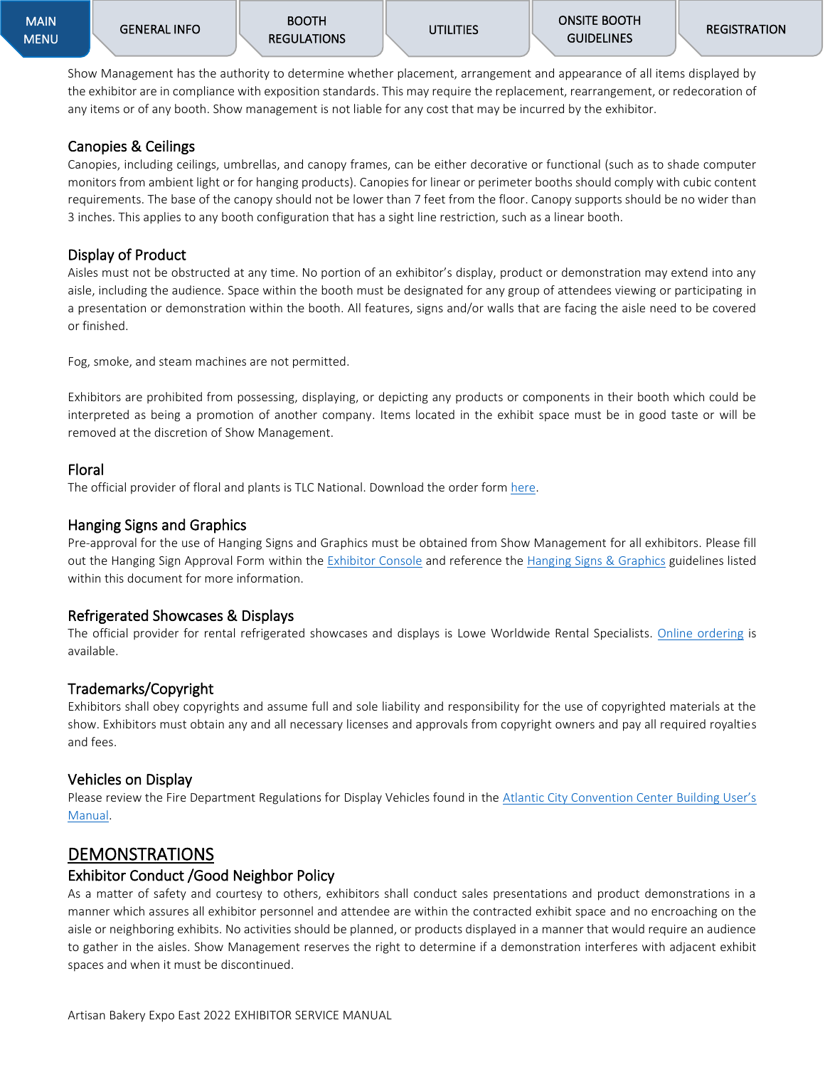Show Management has the authority to determine whether placement, arrangement and appearance of all items displayed by the exhibitor are in compliance with exposition standards. This may require the replacement, rearrangement, or redecoration of any items or of any booth. Show management is not liable for any cost that may be incurred by the exhibitor.

#### <span id="page-20-0"></span>Canopies & Ceilings

Canopies, including ceilings, umbrellas, and canopy frames, can be either decorative or functional (such as to shade computer monitors from ambient light or for hanging products). Canopies for linear or perimeter booths should comply with cubic content requirements. The base of the canopy should not be lower than 7 feet from the floor. Canopy supports should be no wider than 3 inches. This applies to any booth configuration that has a sight line restriction, such as a linear booth.

#### <span id="page-20-1"></span>Display of Product

Aisles must not be obstructed at any time. No portion of an exhibitor's display, product or demonstration may extend into any aisle, including the audience. Space within the booth must be designated for any group of attendees viewing or participating in a presentation or demonstration within the booth. All features, signs and/or walls that are facing the aisle need to be covered or finished.

Fog, smoke, and steam machines are not permitted.

Exhibitors are prohibited from possessing, displaying, or depicting any products or components in their booth which could be interpreted as being a promotion of another company. Items located in the exhibit space must be in good taste or will be removed at the discretion of Show Management.

#### <span id="page-20-2"></span>Floral

The official provider of floral and plants is TLC National. Download the order form [here.](https://artisanbakeryexpoeast.com/wp-content/uploads/2022/04/ABE22-TLC-Floral-Order-Form.pdf)

#### <span id="page-20-3"></span>Hanging Signs and Graphics

Pre-approval for the use of Hanging Signs and Graphics must be obtained from Show Management for all exhibitors. Please fill out the Hanging Sign Approval Form within the [Exhibitor Console](https://pizza.a2zinc.net/ArtisanBakeryEast2022/public/e_exhibitorconsole.aspx) and reference the [Hanging Signs & Graphics](#page-12-0) guidelines listed within this document for more information.

#### <span id="page-20-4"></span>Refrigerated Showcases & Displays

The official provider for rental refrigerated showcases and displays is Lowe Worldwide Rental Specialists. Online [ordering](http://www.lowerental.com/us) is available.

#### <span id="page-20-5"></span>Trademarks/Copyright

Exhibitors shall obey copyrights and assume full and sole liability and responsibility for the use of copyrighted materials at the show. Exhibitors must obtain any and all necessary licenses and approvals from copyright owners and pay all required royalties and fees.

#### <span id="page-20-6"></span>Vehicles on Display

Please review the Fire Department Regulations for Display Vehicles found in the [Atlantic City Convention Center](https://meetac.com/sites/default/files/uploaded/MeetAC_EPG.pdf) Building User's [Manual.](https://meetac.com/sites/default/files/uploaded/MeetAC_EPG.pdf)

### <span id="page-20-7"></span>DEMONSTRATIONS

#### <span id="page-20-8"></span>Exhibitor Conduct /Good Neighbor Policy

As a matter of safety and courtesy to others, exhibitors shall conduct sales presentations and product demonstrations in a manner which assures all exhibitor personnel and attendee are within the contracted exhibit space and no encroaching on the aisle or neighboring exhibits. No activities should be planned, or products displayed in a manner that would require an audience to gather in the aisles. Show Management reserves the right to determine if a demonstration interferes with adjacent exhibit spaces and when it must be discontinued.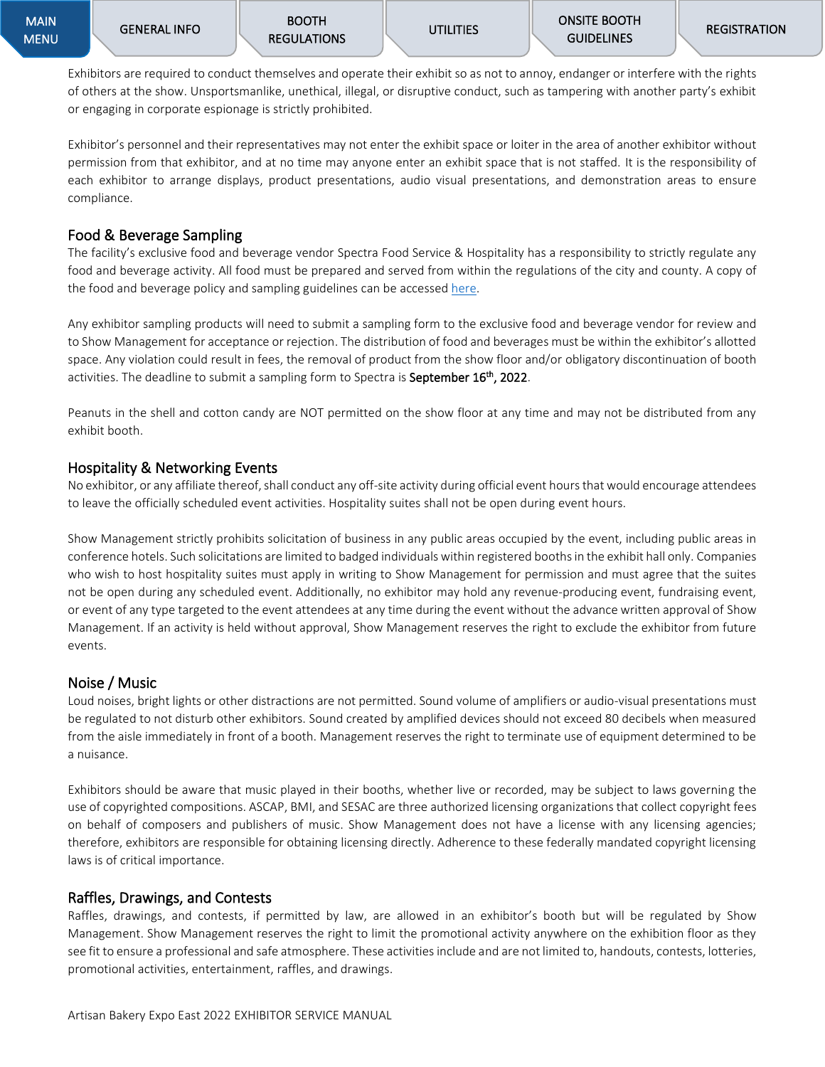Exhibitors are required to conduct themselves and operate their exhibit so as not to annoy, endanger or interfere with the rights of others at the show. Unsportsmanlike, unethical, illegal, or disruptive conduct, such as tampering with another party's exhibit or engaging in corporate espionage is strictly prohibited.

Exhibitor's personnel and their representatives may not enter the exhibit space or loiter in the area of another exhibitor without permission from that exhibitor, and at no time may anyone enter an exhibit space that is not staffed. It is the responsibility of each exhibitor to arrange displays, product presentations, audio visual presentations, and demonstration areas to ensure compliance.

#### <span id="page-21-0"></span>Food & Beverage Sampling

The facility's exclusive food and beverage vendor Spectra Food Service & Hospitality has a responsibility to strictly regulate any food and beverage activity. All food must be prepared and served from within the regulations of the city and county. A copy of the food and beverage policy and sampling guidelines can be accessed [here.](https://meetac.com/sites/default/files/uploaded/MeetAC_EPG.pdf)

Any exhibitor sampling products will need to submit a sampling form to the exclusive food and beverage vendor for review and to Show Management for acceptance or rejection. The distribution of food and beverages must be within the exhibitor's allotted space. Any violation could result in fees, the removal of product from the show floor and/or obligatory discontinuation of booth activities. The deadline to submit a sampling form to Spectra is September 16<sup>th</sup>, 2022.

Peanuts in the shell and cotton candy are NOT permitted on the show floor at any time and may not be distributed from any exhibit booth.

#### <span id="page-21-1"></span>Hospitality & Networking Events

No exhibitor, or any affiliate thereof, shall conduct any off-site activity during official event hours that would encourage attendees to leave the officially scheduled event activities. Hospitality suites shall not be open during event hours.

Show Management strictly prohibits solicitation of business in any public areas occupied by the event, including public areas in conference hotels. Such solicitations are limited to badged individuals within registered booths in the exhibit hall only. Companies who wish to host hospitality suites must apply in writing to Show Management for permission and must agree that the suites not be open during any scheduled event. Additionally, no exhibitor may hold any revenue-producing event, fundraising event, or event of any type targeted to the event attendees at any time during the event without the advance written approval of Show Management. If an activity is held without approval, Show Management reserves the right to exclude the exhibitor from future events.

#### <span id="page-21-2"></span>Noise / Music

Loud noises, bright lights or other distractions are not permitted. Sound volume of amplifiers or audio-visual presentations must be regulated to not disturb other exhibitors. Sound created by amplified devices should not exceed 80 decibels when measured from the aisle immediately in front of a booth. Management reserves the right to terminate use of equipment determined to be a nuisance.

Exhibitors should be aware that music played in their booths, whether live or recorded, may be subject to laws governing the use of copyrighted compositions. ASCAP, BMI, and SESAC are three authorized licensing organizations that collect copyright fees on behalf of composers and publishers of music. Show Management does not have a license with any licensing agencies; therefore, exhibitors are responsible for obtaining licensing directly. Adherence to these federally mandated copyright licensing laws is of critical importance.

#### <span id="page-21-3"></span>Raffles, Drawings, and Contests

Raffles, drawings, and contests, if permitted by law, are allowed in an exhibitor's booth but will be regulated by Show Management. Show Management reserves the right to limit the promotional activity anywhere on the exhibition floor as they see fit to ensure a professional and safe atmosphere. These activities include and are not limited to, handouts, contests, lotteries, promotional activities, entertainment, raffles, and drawings.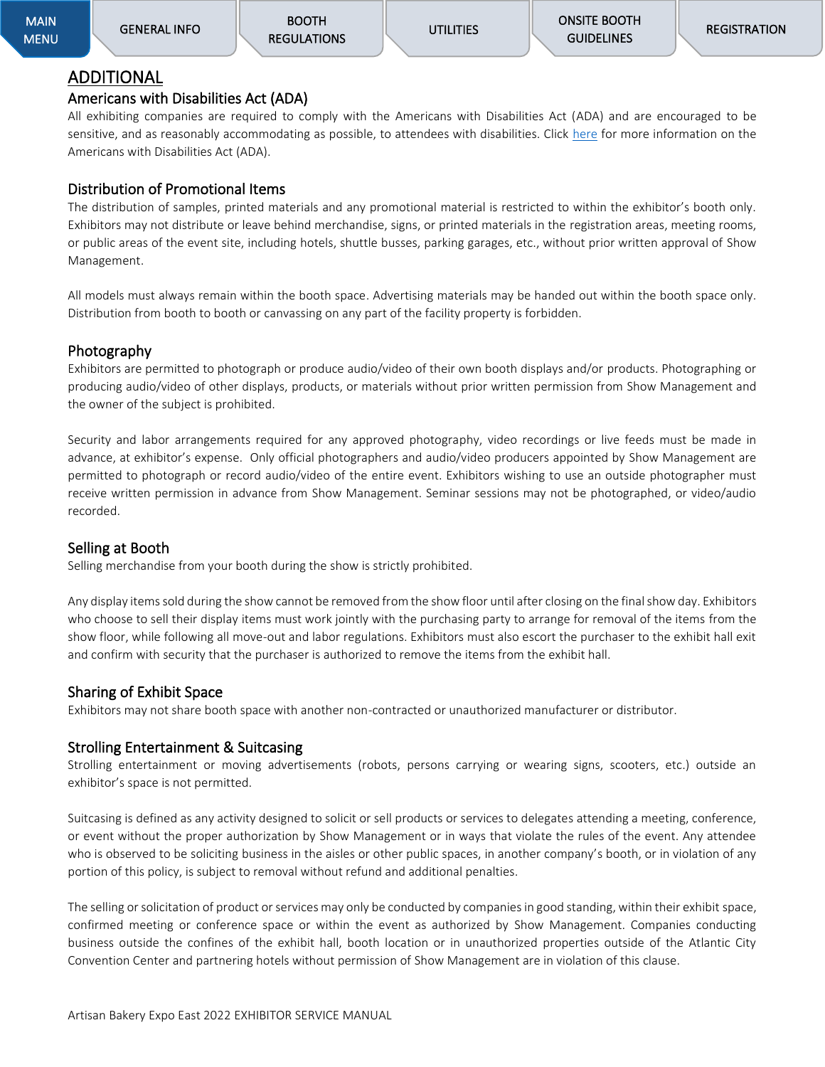## <span id="page-22-0"></span>ADDITIONAL

### <span id="page-22-1"></span>Americans with Disabilities Act (ADA)

All exhibiting companies are required to comply with the Americans with Disabilities Act (ADA) and are encouraged to be sensitive, and as reasonably accommodating as possible, to attendees with disabilities. Click [here](https://www.ada.gov/) for more information on the Americans with Disabilities Act (ADA).

## <span id="page-22-2"></span>Distribution of Promotional Items

The distribution of samples, printed materials and any promotional material is restricted to within the exhibitor's booth only. Exhibitors may not distribute or leave behind merchandise, signs, or printed materials in the registration areas, meeting rooms, or public areas of the event site, including hotels, shuttle busses, parking garages, etc., without prior written approval of Show Management.

All models must always remain within the booth space. Advertising materials may be handed out within the booth space only. Distribution from booth to booth or canvassing on any part of the facility property is forbidden.

### <span id="page-22-3"></span>Photography

Exhibitors are permitted to photograph or produce audio/video of their own booth displays and/or products. Photographing or producing audio/video of other displays, products, or materials without prior written permission from Show Management and the owner of the subject is prohibited.

Security and labor arrangements required for any approved photography, video recordings or live feeds must be made in advance, at exhibitor's expense. Only official photographers and audio/video producers appointed by Show Management are permitted to photograph or record audio/video of the entire event. Exhibitors wishing to use an outside photographer must receive written permission in advance from Show Management. Seminar sessions may not be photographed, or video/audio recorded.

#### <span id="page-22-4"></span>Selling at Booth

Selling merchandise from your booth during the show is strictly prohibited.

Any display items sold during the show cannot be removed from the show floor until after closing on the final show day. Exhibitors who choose to sell their display items must work jointly with the purchasing party to arrange for removal of the items from the show floor, while following all move-out and labor regulations. Exhibitors must also escort the purchaser to the exhibit hall exit and confirm with security that the purchaser is authorized to remove the items from the exhibit hall.

#### <span id="page-22-5"></span>Sharing of Exhibit Space

Exhibitors may not share booth space with another non-contracted or unauthorized manufacturer or distributor.

#### <span id="page-22-6"></span>Strolling Entertainment & Suitcasing

Strolling entertainment or moving advertisements (robots, persons carrying or wearing signs, scooters, etc.) outside an exhibitor's space is not permitted.

Suitcasing is defined as any activity designed to solicit or sell products or services to delegates attending a meeting, conference, or event without the proper authorization by Show Management or in ways that violate the rules of the event. Any attendee who is observed to be soliciting business in the aisles or other public spaces, in another company's booth, or in violation of any portion of this policy, is subject to removal without refund and additional penalties.

The selling or solicitation of product or services may only be conducted by companies in good standing, within their exhibit space, confirmed meeting or conference space or within the event as authorized by Show Management. Companies conducting business outside the confines of the exhibit hall, booth location or in unauthorized properties outside of the Atlantic City Convention Center and partnering hotels without permission of Show Management are in violation of this clause.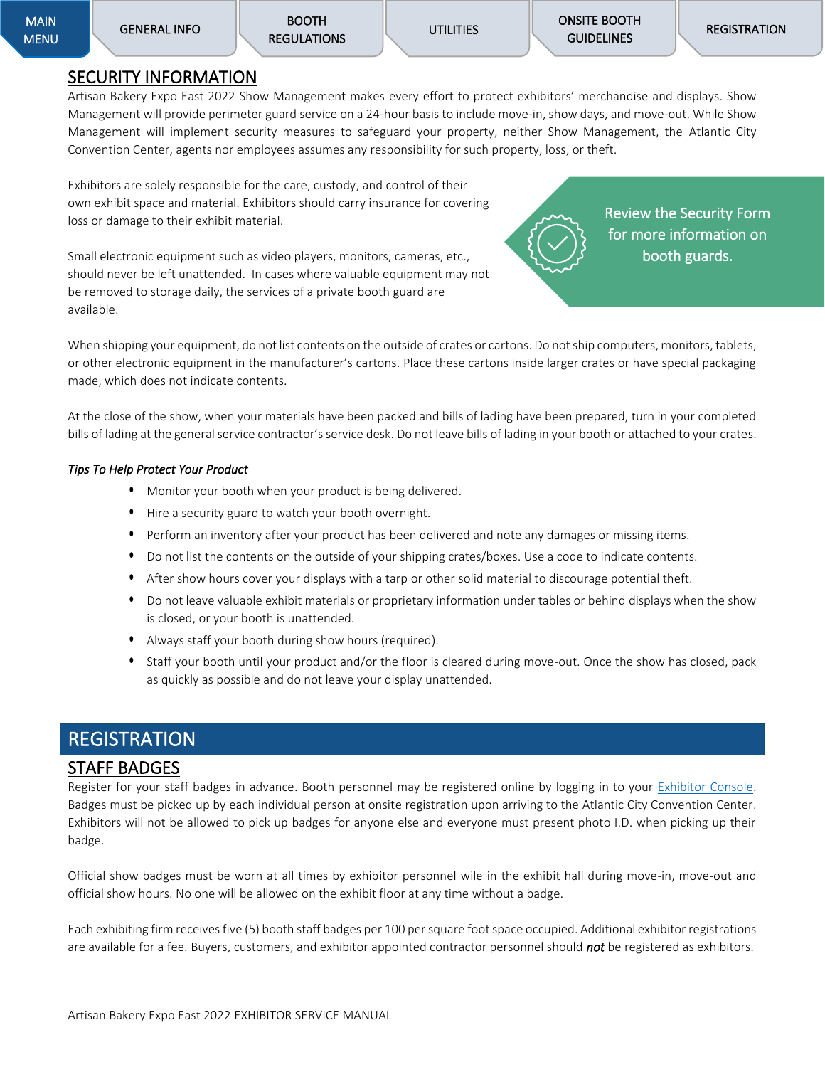#### <span id="page-23-0"></span>SECURITY INFORMATION

Artisan Bakery Expo East 2022 Show Management makes every effort to protect exhibitors' merchandise and displays. Show Management will provide perimeter guard service on a 24-hour basis to include move-in, show days, and move-out. While Show Management will implement security measures to safeguard your property, neither Show Management, the Atlantic City Convention Center, agents nor employees assumes any responsibility for such property, loss, or theft.

Exhibitors are solely responsible for the care, custody, and control of their own exhibit space and material. Exhibitors should carry insurance for covering loss or damage to their exhibit material.

Small electronic equipment such as video players, monitors, cameras, etc., should never be left unattended. In cases where valuable equipment may not be removed to storage daily, the services of a private booth guard are available.

Review the [Security Form](https://artisanbakeryexpoeast.com/wp-content/uploads/2022/05/SECURITY-FOR-2022.doc)  for more information on booth guards.

When shipping your equipment, do not list contents on the outside of crates or cartons. Do not ship computers, monitors, tablets, or other electronic equipment in the manufacturer's cartons. Place these cartons inside larger crates or have special packaging made, which does not indicate contents.

At the close of the show, when your materials have been packed and bills of lading have been prepared, turn in your completed bills of lading at the general service contractor's service desk. Do not leave bills of lading in your booth or attached to your crates.

#### *Tips To Help Protect Your Product*

- Monitor your booth when your product is being delivered.
- Hire a security guard to watch your booth overnight.
- Perform an inventory after your product has been delivered and note any damages or missing items.
- Do not list the contents on the outside of your shipping crates/boxes. Use a code to indicate contents.
- After show hours cover your displays with a tarp or other solid material to discourage potential theft.
- Do not leave valuable exhibit materials or proprietary information under tables or behind displays when the show is closed, or your booth is unattended.
- Always staff your booth during show hours (required).
- Staff your booth until your product and/or the floor is cleared during move-out. Once the show has closed, pack as quickly as possible and do not leave your display unattended.

## <span id="page-23-1"></span>**REGISTRATION**

#### <span id="page-23-2"></span>STAFF BADGES

Register for your staff badges in advance. Booth personnel may be registered online by logging in to your [Exhibitor Console.](https://pizza.a2zinc.net/ArtisanBakeryEast2022/public/e_exhibitorconsole.aspx) Badges must be picked up by each individual person at onsite registration upon arriving to the Atlantic City Convention Center. Exhibitors will not be allowed to pick up badges for anyone else and everyone must present photo I.D. when picking up their badge.

Official show badges must be worn at all times by exhibitor personnel wile in the exhibit hall during move-in, move-out and official show hours. No one will be allowed on the exhibit floor at any time without a badge.

Each exhibiting firm receives five (5) booth staff badges per 100 per square foot space occupied. Additional exhibitor registrations are available for a fee. Buyers, customers, and exhibitor appointed contractor personnel should *not* be registered as exhibitors.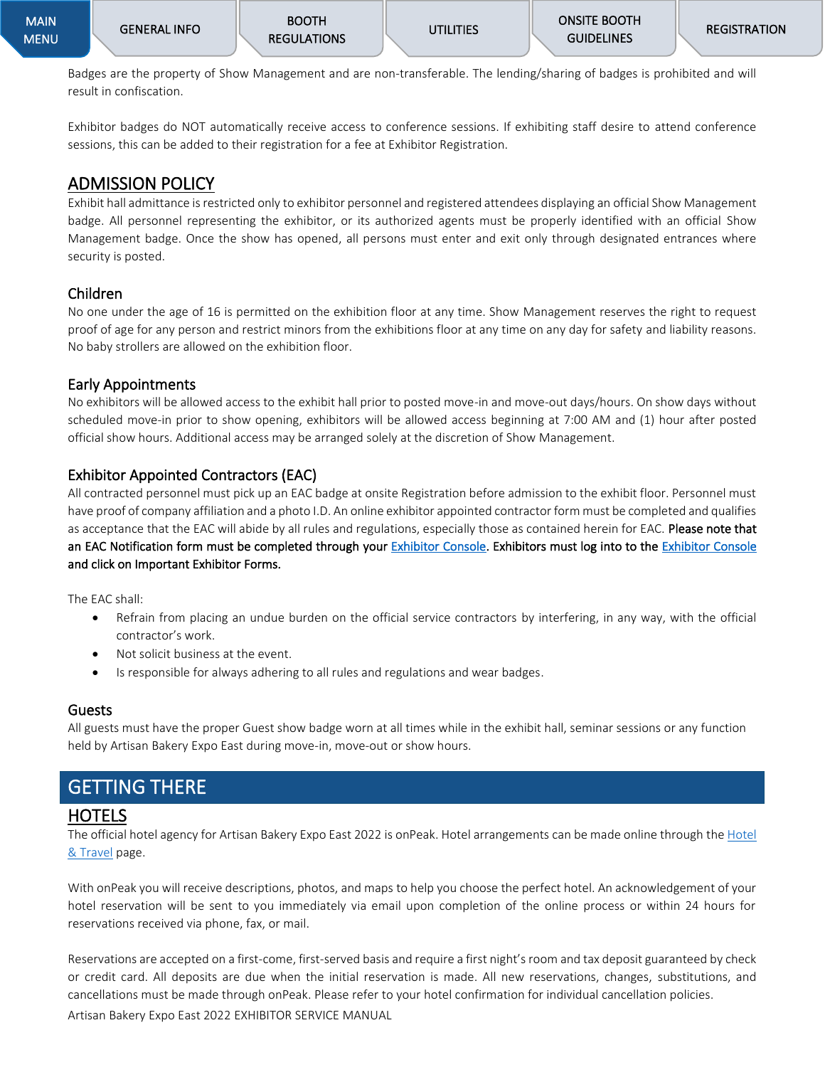Badges are the property of Show Management and are non-transferable. The lending/sharing of badges is prohibited and will result in confiscation.

Exhibitor badges do NOT automatically receive access to conference sessions. If exhibiting staff desire to attend conference sessions, this can be added to their registration for a fee at Exhibitor Registration.

## <span id="page-24-0"></span>ADMISSION POLICY

Exhibit hall admittance is restricted only to exhibitor personnel and registered attendees displaying an official Show Management badge. All personnel representing the exhibitor, or its authorized agents must be properly identified with an official Show Management badge. Once the show has opened, all persons must enter and exit only through designated entrances where security is posted.

#### <span id="page-24-1"></span>Children

No one under the age of 16 is permitted on the exhibition floor at any time. Show Management reserves the right to request proof of age for any person and restrict minors from the exhibitions floor at any time on any day for safety and liability reasons. No baby strollers are allowed on the exhibition floor.

#### <span id="page-24-2"></span>Early Appointments

No exhibitors will be allowed access to the exhibit hall prior to posted move-in and move-out days/hours. On show days without scheduled move-in prior to show opening, exhibitors will be allowed access beginning at 7:00 AM and (1) hour after posted official show hours. Additional access may be arranged solely at the discretion of Show Management.

### <span id="page-24-3"></span>Exhibitor Appointed Contractors (EAC)

All contracted personnel must pick up an EAC badge at onsite Registration before admission to the exhibit floor. Personnel must have proof of company affiliation and a photo I.D. An online exhibitor appointed contractor form must be completed and qualifies as acceptance that the EAC will abide by all rules and regulations, especially those as contained herein for EAC. Please note that an EAC Notification form must be completed through your [Exhibitor Console.](https://pizza.a2zinc.net/ArtisanBakeryEast2022/public/e_exhibitorconsole.aspx) Exhibitors must log into to the Exhibitor Console and click on Important Exhibitor Forms.

The EAC shall:

- Refrain from placing an undue burden on the official service contractors by interfering, in any way, with the official contractor's work.
- Not solicit business at the event.
- Is responsible for always adhering to all rules and regulations and wear badges.

#### <span id="page-24-4"></span>Guests

All guests must have the proper Guest show badge worn at all times while in the exhibit hall, seminar sessions or any function held by Artisan Bakery Expo East during move-in, move-out or show hours.

## <span id="page-24-5"></span>GETTING THERE

### <span id="page-24-6"></span>HOTELS

The official hotel agency for Artisan Bakery Expo East 2022 is onPeak. [Hotel](https://artisanbakeryexpoeast.com/hotel-travel/book-your-hotel/) arrangements can be made online through the Hotel [& Travel](https://artisanbakeryexpoeast.com/hotel-travel/book-your-hotel/) page.

With onPeak you will receive descriptions, photos, and maps to help you choose the perfect hotel. An acknowledgement of your hotel reservation will be sent to you immediately via email upon completion of the online process or within 24 hours for reservations received via phone, fax, or mail.

Artisan Bakery Expo East 2022 EXHIBITOR SERVICE MANUAL Reservations are accepted on a first-come, first-served basis and require a first night's room and tax deposit guaranteed by check or credit card. All deposits are due when the initial reservation is made. All new reservations, changes, substitutions, and cancellations must be made through onPeak. Please refer to your hotel confirmation for individual cancellation policies.